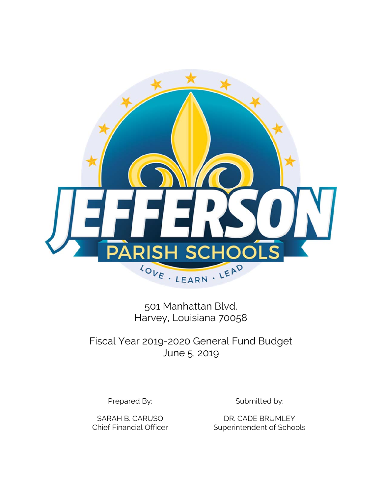

501 Manhattan Blvd. Harvey, Louisiana 70058

Fiscal Year 2019-2020 General Fund Budget June 5, 2019

Prepared By: Submitted by:

SARAH B. CARUSO DR. CADE BRUMLEY Chief Financial Officer Superintendent of Schools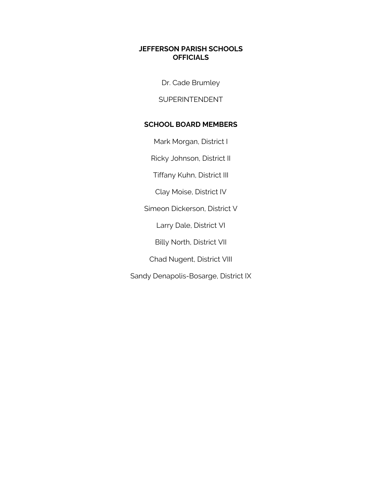## **JEFFERSON PARISH SCHOOLS OFFICIALS**

Dr. Cade Brumley

SUPERINTENDENT

## **SCHOOL BOARD MEMBERS**

Mark Morgan, District I

Ricky Johnson, District II

Tiffany Kuhn, District III

Clay Moise, District IV

Simeon Dickerson, District V

Larry Dale, District VI

Billy North, District VII

Chad Nugent, District VIII

Sandy Denapolis-Bosarge, District IX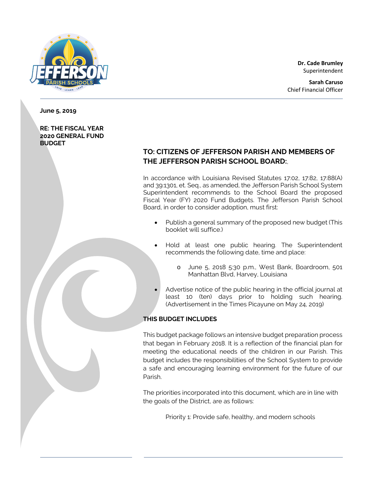

**Dr. Cade Brumley** Superintendent

**June 5, 2019** 

#### **RE: THE FISCAL YEAR 2020 GENERAL FUND BUDGET**

# **TO: CITIZENS OF JEFFERSON PARISH AND MEMBERS OF THE JEFFERSON PARISH SCHOOL BOARD:**,

In accordance with Louisiana Revised Statutes 17:02, 17:82, 17:88(A) and 39:1301, et. Seq., as amended, the Jefferson Parish School System Superintendent recommends to the School Board the proposed Fiscal Year (FY) 2020 Fund Budgets. The Jefferson Parish School Board, in order to consider adoption, must first:

- Publish a general summary of the proposed new budget (This booklet will suffice.)
- Hold at least one public hearing. The Superintendent recommends the following date, time and place:
	- o June 5, 2018 5:30 p.m., West Bank, Boardroom, 501 Manhattan Blvd, Harvey, Louisiana
- Advertise notice of the public hearing in the official journal at least 10 (ten) days prior to holding such hearing. (Advertisement in the Times Picayune on May 24, 2019)

## **THIS BUDGET INCLUDES**

This budget package follows an intensive budget preparation process that began in February 2018. It is a reflection of the financial plan for meeting the educational needs of the children in our Parish. This budget includes the responsibilities of the School System to provide a safe and encouraging learning environment for the future of our Parish.

The priorities incorporated into this document, which are in line with the goals of the District, are as follows:

Priority 1: Provide safe, healthy, and modern schools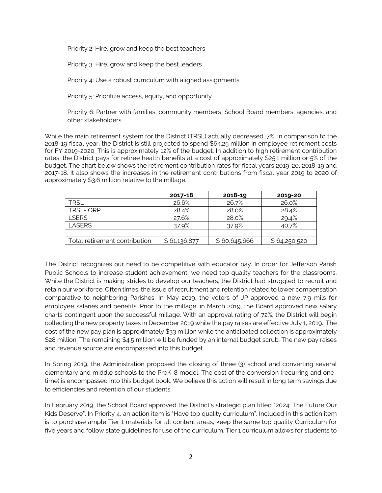Priority 2: Hire, grow and keep the best teachers

Priority 3: Hire, grow and keep the best leaders

Priority 4: Use a robust curriculum with aligned assignments

Priority 5: Prioritize access, equity, and opportunity

Priority 6: Partner with families, community members, School Board members, agencies, and other stakeholders

While the main retirement system for the District (TRSL) actually decreased .7%, in comparison to the 2018-19 fiscal year, the District is still projected to spend \$64.25 million in employee retirement costs for FY 2019-2020. This is approximately 12% of the budget. In addition to high retirement contribution rates, the District pays for retiree health benefits at a cost of approximately \$25.1 million or 5% of the budget. The chart below shows the retirement contribution rates for fiscal years 2019-20, 2018-19 and 2017-18. It also shows the increases in the retirement contributions from fiscal year 2019 to 2020 of approximately \$3.6 million relative to the millage.

|                               | 2017-18      | 2018-19      | 2019-20      |
|-------------------------------|--------------|--------------|--------------|
| <b>TRSL</b>                   | 26.6%        | 26.7%        | 26.0%        |
| TRSL-ORP                      | 28.4%        | 28.0%        | 28.4%        |
| LSERS                         | 27.6%        | 28.0%        | 29.4%        |
| LASERS                        | 37.9%        | 37.9%        | 40.7%        |
|                               |              |              |              |
| Total retirement contribution | \$61,136,877 | \$60,645,666 | \$64,250,520 |

The District recognizes our need to be competitive with educator pay. In order for Jefferson Parish Public Schools to increase student achievement, we need top quality teachers for the classrooms. While the District is making strides to develop our teachers, the District had struggled to recruit and retain our workforce. Often times, the issue of recruitment and retention related to lower compensation comparative to neighboring Parishes. In May 2019, the voters of JP approved a new 7.9 mils for employee salaries and benefits. Prior to the millage, in March 2019, the Board approved new salary charts contingent upon the successful millage. With an approval rating of 72%, the District will begin collecting the new property taxes in December 2019 while the pay raises are effective July 1, 2019. The cost of the new pay plan is approximately \$33 million while the anticipated collection is approximately \$28 million. The remaining \$4.5 million will be funded by an internal budget scrub. The new pay raises and revenue source are encompassed into this budget.

In Spring 2019, the Administration proposed the closing of three (3) school and converting several elementary and middle schools to the PreK-8 model. The cost of the conversion (recurring and onetime) is encompassed into this budget book. We believe this action will result in long term savings due to efficiencies and retention of our students.

In February 2019, the School Board approved the District's strategic plan titled "2024: The Future Our Kids Deserve". In Priority 4, an action item is "Have top quality curriculum". Included in this action item is to purchase ample Tier 1 materials for all content areas, keep the same top quality Curriculum for five years and follow state guidelines for use of the curriculum. Tier 1 curriculum allows for students to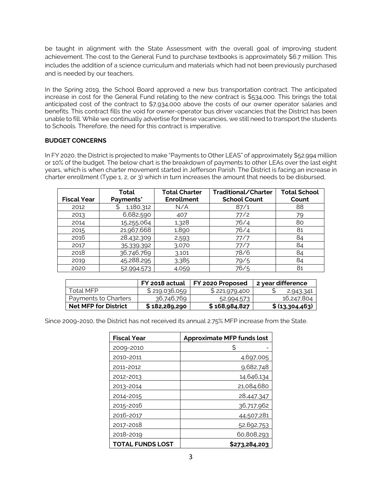be taught in alignment with the State Assessment with the overall goal of improving student achievement. The cost to the General Fund to purchase textbooks is approximately \$6.7 million. This includes the addition of a science curriculum and materials which had not been previously purchased and is needed by our teachers.

In the Spring 2019, the School Board approved a new bus transportation contract. The anticipated increase in cost for the General Fund relating to the new contract is \$534,000. This brings the total anticipated cost of the contract to \$7,934,000 above the costs of our owner operator salaries and benefits. This contract fills the void for owner-operator bus driver vacancies that the District has been unable to fill. While we continually advertise for these vacancies, we still need to transport the students to Schools. Therefore, the need for this contract is imperative.

#### **BUDGET CONCERNS**

In FY 2020, the District is projected to make "Payments to Other LEAS" of approximately \$52.994 million or 10% of the budget. The below chart is the breakdown of payments to other LEAs over the last eight years, which is when charter movement started in Jefferson Parish. The District is facing an increase in charter enrollment (Type 1, 2, or 3) which in turn increases the amount that needs to be disbursed,

|                    | <b>Total</b>   | <b>Total Charter</b> | Traditional/Charter | <b>Total School</b> |
|--------------------|----------------|----------------------|---------------------|---------------------|
| <b>Fiscal Year</b> | Payments*      | <b>Enrollment</b>    | <b>School Count</b> | Count               |
| 2012               | 1,180,312<br>S | N/A                  | 87/1                | 88                  |
| 2013               | 6,682,590      | 407                  | 77/2                | 79                  |
| 2014               | 15,255,064     | 1,328                | 76/4                | 80                  |
| 2015               | 21,967,668     | 1,890                | 76/4                | 81                  |
| 2016               | 28,432,309     | 2,593                | 77/7                | 84                  |
| 2017               | 35,339,392     | 3,070                | 77/7                | 84                  |
| 2018               | 36,746,769     | 3,101                | 78/6                | 84                  |
| 2019               | 45,288,295     | 3,385                | 79/5                | 84                  |
| 2020               | 52,994,573     | 4,059                | 76/5                | 81                  |

|                             | FY 2018 actual | FY 2020 Proposed | 2 year difference |
|-----------------------------|----------------|------------------|-------------------|
| Total MFP                   | \$219,036,059  | \$221,979,400    | 2,943,341         |
| Payments to Charters        | 36,746,769     | 52,994,573       | 16,247,804        |
| <b>Net MFP for District</b> | \$182,289,290  | \$ 168,984,827   | \$ (13,304,463)   |

Since 2009-2010, the District has not received its annual 2.75% MFP increase from the State.

| <b>Fiscal Year</b> | <b>Approximate MFP funds lost</b> |
|--------------------|-----------------------------------|
| 2009-2010          | \$                                |
| 2010-2011          | 4,697,005                         |
| 2011-2012          | 9,682,748                         |
| 2012-2013          | 14,646,134                        |
| 2013-2014          | 21,084,680                        |
| 2014-2015          | 28,447,347                        |
| 2015-2016          | 36,717,962                        |
| 2016-2017          | 44,507,281                        |
| 2017-2018          | 52,692,753                        |
| 2018-2019          | 60,808,293                        |
| TOTAL FUNDS LOST   | \$273,284,203                     |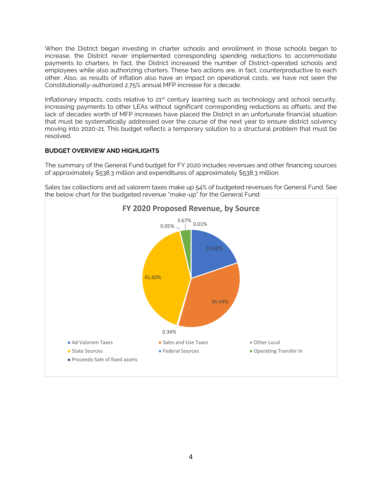When the District began investing in charter schools and enrollment in those schools began to increase, the District never implemented corresponding spending reductions to accommodate payments to charters. In fact, the District increased the number of District-operated schools and employees while also authorizing charters. These two actions are, in fact, counterproductive to each other. Also, as results of inflation also have an impact on operational costs, we have not seen the Constitutionally-authorized 2.75% annual MFP increase for a decade.

Inflationary impacts, costs relative to 21<sup>st</sup> century learning such as technology and school security, increasing payments to other LEAs without significant corresponding reductions as offsets, and the lack of decades worth of MFP increases have placed the District in an unfortunate financial situation that must be systematically addressed over the course of the next year to ensure district solvency moving into 2020-21. This budget reflects a temporary solution to a structural problem that must be resolved.

#### **BUDGET OVERVIEW AND HIGHLIGHTS**

The summary of the General Fund budget for FY 2020 includes revenues and other financing sources of approximately \$538.3 million and expenditures of approximately \$538.3 million.

Sales tax collections and ad valorem taxes make up 54% of budgeted revenues for General Fund. See the below chart for the budgeted revenue "make-up" for the General Fund:

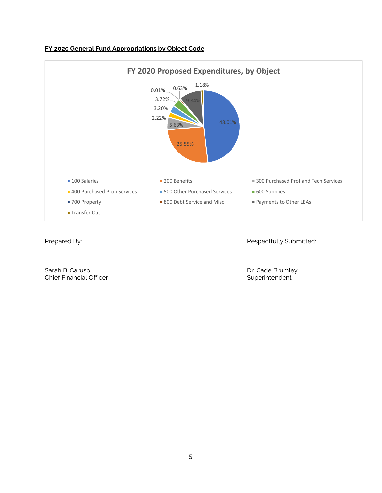

## **FY 2020 General Fund Appropriations by Object Code**

Prepared By: **Respectfully Submitted:** 

Sarah B. Caruso Dr. Cade Brumley<br>
Chief Financial Officer Chief Brumley<br>
Chief Financial Officer Chief Financial Officer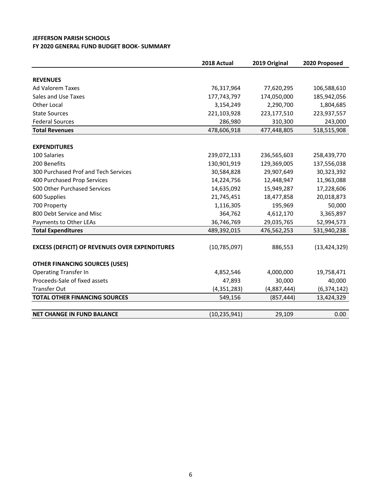#### **JEFFERSON PARISH SCHOOLS FY 2020 GENERAL FUND BUDGET BOOK‐ SUMMARY**

|                                                       | 2018 Actual    | 2019 Original | 2020 Proposed  |
|-------------------------------------------------------|----------------|---------------|----------------|
|                                                       |                |               |                |
| <b>REVENUES</b>                                       |                |               |                |
| <b>Ad Valorem Taxes</b>                               | 76,317,964     | 77,620,295    | 106,588,610    |
| Sales and Use Taxes                                   | 177,743,797    | 174,050,000   | 185,942,056    |
| Other Local                                           | 3,154,249      | 2,290,700     | 1,804,685      |
| <b>State Sources</b>                                  | 221,103,928    | 223,177,510   | 223,937,557    |
| <b>Federal Sources</b>                                | 286,980        | 310,300       | 243,000        |
| <b>Total Revenues</b>                                 | 478,606,918    | 477,448,805   | 518,515,908    |
|                                                       |                |               |                |
| <b>EXPENDITURES</b>                                   |                |               |                |
| 100 Salaries                                          | 239,072,133    | 236,565,603   | 258,439,770    |
| 200 Benefits                                          | 130,901,919    | 129,369,005   | 137,556,038    |
| 300 Purchased Prof and Tech Services                  | 30,584,828     | 29,907,649    | 30,323,392     |
| 400 Purchased Prop Services                           | 14,224,756     | 12,448,947    | 11,963,088     |
| 500 Other Purchased Services                          | 14,635,092     | 15,949,287    | 17,228,606     |
| 600 Supplies                                          | 21,745,451     | 18,477,858    | 20,018,873     |
| 700 Property                                          | 1,116,305      | 195,969       | 50,000         |
| 800 Debt Service and Misc                             | 364,762        | 4,612,170     | 3,365,897      |
| Payments to Other LEAs                                | 36,746,769     | 29,035,765    | 52,994,573     |
| <b>Total Expenditures</b>                             | 489,392,015    | 476,562,253   | 531,940,238    |
|                                                       |                |               |                |
| <b>EXCESS (DEFICIT) OF REVENUES OVER EXPENDITURES</b> | (10, 785, 097) | 886,553       | (13, 424, 329) |
| <b>OTHER FINANCING SOURCES (USES)</b>                 |                |               |                |
| <b>Operating Transfer In</b>                          | 4,852,546      | 4,000,000     | 19,758,471     |
| Proceeds-Sale of fixed assets                         | 47,893         | 30,000        | 40,000         |
| <b>Transfer Out</b>                                   | (4,351,283)    | (4,887,444)   | (6, 374, 142)  |
| <b>TOTAL OTHER FINANCING SOURCES</b>                  | 549,156        | (857, 444)    | 13,424,329     |
|                                                       |                |               |                |
| <b>NET CHANGE IN FUND BALANCE</b>                     | (10, 235, 941) | 29,109        | 0.00           |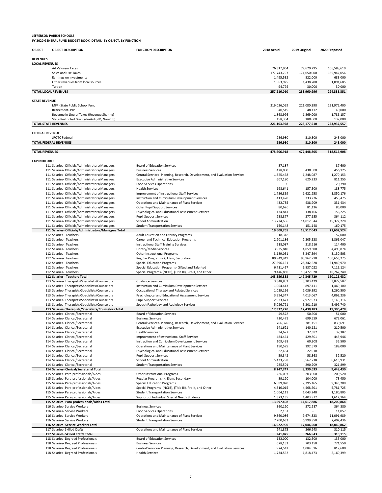| OBJECT                 | <b>OBJECT DESCRIPTION</b>                                                                          | <b>FUNCTION DESCRIPTION</b>                                                                     | 2018 Actual               | 2019 Original             | 2020 Proposed              |
|------------------------|----------------------------------------------------------------------------------------------------|-------------------------------------------------------------------------------------------------|---------------------------|---------------------------|----------------------------|
|                        |                                                                                                    |                                                                                                 |                           |                           |                            |
| <b>REVENUES</b>        |                                                                                                    |                                                                                                 |                           |                           |                            |
| <b>LOCAL REVENUES</b>  | Ad Valorem Taxes                                                                                   |                                                                                                 |                           |                           |                            |
|                        | Sales and Use Taxes                                                                                |                                                                                                 | 76,317,964<br>177,743,797 | 77,620,295<br>174,050,000 | 106,588,610<br>185,942,056 |
|                        | Earnings on investments                                                                            |                                                                                                 | 1,495,532                 | 822,000                   | 683,000                    |
|                        | Other revenues from local sources                                                                  |                                                                                                 | 1,563,925                 | 1,438,700                 | 1,091,685                  |
|                        | Tuition                                                                                            |                                                                                                 | 94,792                    | 30,000                    | 30,000                     |
|                        | <b>TOTAL LOCAL REVENUES</b>                                                                        |                                                                                                 | 257,216,010               | 253,960,996               | 294,335,351                |
|                        |                                                                                                    |                                                                                                 |                           |                           |                            |
| <b>STATE REVENUE</b>   |                                                                                                    |                                                                                                 |                           |                           |                            |
|                        | MFP- State Public School Fund<br>Retirement-PIP                                                    |                                                                                                 | 219,036,059<br>40,519     | 221,080,398<br>48,112     | 221,979,400<br>40,000      |
|                        | Revenue in Lieu of Taxes (Revenue Sharing)                                                         |                                                                                                 | 1,868,996                 | 1,869,000                 | 1,786,157                  |
|                        | State Restricted Grants-In-Aid (PIP, NonPub)                                                       |                                                                                                 | 158,354                   | 180,000                   | 132,000                    |
|                        | <b>TOTAL STATE REVENUES</b>                                                                        |                                                                                                 | 221,103,928               | 223,177,510               | 223,937,557                |
|                        |                                                                                                    |                                                                                                 |                           |                           |                            |
| <b>FEDERAL REVENUE</b> |                                                                                                    |                                                                                                 |                           |                           |                            |
|                        | <b>JROTC Federal</b>                                                                               |                                                                                                 | 286,980                   | 310,300                   | 243,000                    |
|                        | <b>TOTAL FEDERAL REVENUES</b>                                                                      |                                                                                                 | 286,980                   | 310,300                   | 243,000                    |
| <b>TOTAL REVENUES</b>  |                                                                                                    |                                                                                                 | 478,606,918               | 477,448,805               | 518,515,908                |
|                        |                                                                                                    |                                                                                                 |                           |                           |                            |
| <b>EXPENDITURES</b>    |                                                                                                    |                                                                                                 |                           |                           |                            |
|                        | 111 Salaries- Officials/Administrators/Managers                                                    | <b>Board of Education Services</b>                                                              | 87,187                    |                           | 87,600                     |
|                        | 111 Salaries- Officials/Administrators/Managers                                                    | <b>Business Services</b>                                                                        | 428,000                   | 430,500                   | 456,125                    |
|                        | 111 Salaries- Officials/Administrators/Managers                                                    | Central Services- Planning, Research, Development, and Evaluation Services                      | 1,325,468                 | 1,248,087                 | 1,270,153                  |
|                        | 111 Salaries- Officials/Administrators/Managers                                                    | <b>Executive Administrative Services</b>                                                        | 607,180                   | 625,223                   | 811,255                    |
|                        | 111 Salaries- Officials/Administrators/Managers                                                    | <b>Food Services Operations</b>                                                                 | 96                        |                           | 20,790                     |
|                        | 111 Salaries- Officials/Administrators/Managers                                                    | <b>Health Services</b>                                                                          | 198,641                   | 157,500                   | 188,775                    |
|                        | 111 Salaries- Officials/Administrators/Managers                                                    | Improvement of Instructional Staff Services                                                     | 1,736,859                 | 1,622,958                 | 1,850,176                  |
|                        | 111 Salaries- Officials/Administrators/Managers                                                    | Instruction and Curriculum Development Services                                                 | 413,420                   | 333,226                   | 453,475                    |
|                        | 111 Salaries- Officials/Administrators/Managers                                                    | Operations and Maintenance of Plant Services                                                    | 432,735                   | 438,909                   | 331.434                    |
|                        | 111 Salaries- Officials/Administrators/Managers                                                    | Other Pupil Support Services                                                                    | 80,626                    | 81,126                    | 85,000                     |
|                        | 111 Salaries- Officials/Administrators/Managers<br>111 Salaries- Officials/Administrators/Managers | Psychological and Educational Assessment Services<br><b>Pupil Support Services</b>              | 134,841<br>238,877        | 138,166<br>277,655        | 156,225<br>364,112         |
|                        | 111 Salaries- Officials/Administrators/Managers                                                    | School Administration                                                                           | 13.774.686                | 14,012,544                | 15,372,228                 |
|                        | 111 Salaries- Officials/Administrators/Managers                                                    | <b>Student Transportation Services</b>                                                          | 150,148                   | 151,148                   | 160,175                    |
|                        | 111 Salaries- Officials/Administrators/Managers Total                                              |                                                                                                 | 19,608,765                | 19,517,043                | 21,607,524                 |
|                        | 112 Salaries- Teachers                                                                             | Adult Education and Literacy Programs                                                           | 18,318                    |                           | 52,000                     |
|                        | 112 Salaries- Teachers                                                                             | Career and Technical Education Programs                                                         | 2,201,186                 | 2,205,538                 | 1,866,047                  |
|                        | 112 Salaries- Teachers                                                                             | <b>Instructional Staff Training Services</b>                                                    | 218,087                   | 218,916                   | 114,400                    |
|                        | 112 Salaries- Teachers                                                                             | Library/Media Services                                                                          | 3,925,840                 | 4,059,300                 | 4,490,874                  |
|                        | 112 Salaries- Teachers                                                                             | Other Instructional Programs                                                                    | 3,189,051                 | 3,247,594                 | 3,130,503                  |
|                        | 112 Salaries- Teachers                                                                             | Regular Programs- K, Elem, Secondary                                                            | 89,949,949                | 93,962,710                | 100,653,275                |
|                        | 112 Salaries- Teachers                                                                             | <b>Special Education Programs</b>                                                               | 27,696,151                | 28,342,628                | 31,940,970                 |
|                        | 112 Salaries- Teachers                                                                             | Special Education Programs- Gifted and Talented                                                 | 6,711,427                 | 6,837,022                 | 7,115,124                  |
|                        | 112 Salaries- Teachers                                                                             | Special Programs- (NCLB), (Title III), Pre-K, and Other                                         | 9,446,830                 | 10,472,020                | 10,762,240                 |
|                        | 112 Salaries- Teachers Total                                                                       |                                                                                                 | 143,356,838               | 149,345,729               | 160,125,432<br>3,877,587   |
|                        | 113 Salaries-Therapists/Specialists/Counselors<br>113 Salaries-Therapists/Specialists/Counselors   | <b>Guidance Services</b><br>Instruction and Curriculum Development Services                     | 3,348,852<br>1,004,443    | 3,303,429<br>897,411      | 1,460,100                  |
|                        | 113 Salaries-Therapists/Specialists/Counselors                                                     | Occupational Therapy and Related Services                                                       | 1,029,116                 | 1,036,392                 | 1,260,500                  |
|                        | 113 Salaries-Therapists/Specialists/Counselors                                                     | Psychological and Educational Assessment Services                                               | 3,994,347                 | 4,013,067                 | 4,063,236                  |
|                        | 113 Salaries-Therapists/Specialists/Counselors                                                     | <b>Pupil Support Services</b>                                                                   | 2,933,671                 | 2,977,973                 | 3,145,316                  |
|                        | 113 Salaries-Therapists/Specialists/Counselors                                                     | Speech Pathology and Audiology Services                                                         | 5,026,791                 | 5,201,910                 | 5,499,740                  |
|                        | 113 Salaries-Therapists/Specialists/Counselors Total                                               |                                                                                                 | 17,337,220                | 17,430,183                | 19,306,478                 |
|                        | 114 Salaries- Clerical/Secretarial                                                                 | Board of Education Services                                                                     | 49,578                    | 50,500                    | 51,000                     |
|                        | 114 Salaries- Clerical/Secretarial                                                                 | <b>Business Services</b>                                                                        | 720,471                   | 699,559                   | 673,061                    |
|                        | 114 Salaries- Clerical/Secretarial                                                                 | Central Services- Planning, Research, Development, and Evaluation Services                      | 766,376                   | 781,151                   | 839,691                    |
|                        | 114 Salaries- Clerical/Secretarial                                                                 | <b>Executive Administrative Services</b>                                                        | 141,621                   | 140,121                   | 210,500                    |
|                        | 114 Salaries- Clerical/Secretarial                                                                 | <b>Health Services</b>                                                                          | 34,622                    | 37,382                    | 37,382                     |
|                        | 114 Salaries- Clerical/Secretarial                                                                 | Improvement of Instructional Staff Services                                                     | 484,461                   | 429,801                   | 443,946                    |
|                        | 114 Salaries- Clerical/Secretarial<br>114 Salaries- Clerical/Secretarial                           | Instruction and Curriculum Development Services<br>Operations and Maintenance of Plant Services | 109,438<br>150,575        | 60,308<br>192,579         | 35,500<br>189,000          |
|                        | 114 Salaries- Clerical/Secretarial                                                                 | Psychological and Educational Assessment Services                                               | 22,464                    | 22,918                    |                            |
|                        | 114 Salaries- Clerical/Secretarial                                                                 | <b>Pupil Support Services</b>                                                                   | 59,342                    | 58,368                    | 32,520                     |
|                        | 114 Salaries- Clerical/Secretarial                                                                 | School Administration                                                                           | 5,423,298                 | 5,567,738                 | 6,613,931                  |
|                        | 114 Salaries- Clerical/Secretarial                                                                 | <b>Student Transportation Services</b>                                                          | 285,501                   | 290,209                   | 321,899                    |
|                        | 114 Salaries- Clerical/Secretarial Total                                                           |                                                                                                 | 8,247,747                 | 8,330,633                 | 9,448,430                  |
|                        | 115 Salaries- Para-professionals/Aides                                                             | Other Instructional Programs                                                                    | 226,097                   | 203,000                   | 209,520                    |
|                        | 115 Salaries- Para-professionals/Aides                                                             | Regular Programs- K, Elem, Secondary                                                            | 89,120                    | 104,000                   | 73,450                     |
|                        | 115 Salaries- Para-professionals/Aides                                                             | <b>Special Education Programs</b>                                                               | 6,589,020                 | 7,395,165                 | 9,343,200                  |
|                        | 115 Salaries- Para-professionals/Aides                                                             | Special Programs- (NCLB), (Title III), Pre-K, and Other                                         | 4,316,015                 | 4,468,501                 | 5,781,725                  |
|                        | 115 Salaries- Para-professionals/Aides                                                             | <b>Student Transportation Services</b>                                                          | 1,004,111                 | 1,043,248                 | 1,180,805                  |
|                        | 115 Salaries- Para-professionals/Aides                                                             | Support of Individual Special Needs Students                                                    | 1,373,135                 | 1,403,972                 | 1,612,164                  |
|                        | 115 Salaries- Para-professionals/Aides Total                                                       |                                                                                                 | 13,597,498                | 14,617,886                | 18,200,864                 |
|                        | 116 Salaries- Service Workers<br>116 Salaries- Service Workers                                     | <b>Business Services</b>                                                                        | 360,120                   | 372,287                   | 364,380                    |
|                        | 116 Salaries- Service Workers                                                                      | <b>Food Services Operations</b><br>Operations and Maintenance of Plant Services                 | 2,151<br>9,360,086        | 9,674,323                 | 11,057<br>11,091,989       |
|                        | 116 Salaries- Service Workers                                                                      | <b>Student Transportation Services</b>                                                          | 7,200,633                 | 6,999,950                 | 7,402,436                  |
|                        | 116 Salaries- Service Workers Total                                                                |                                                                                                 | 16,922,990                | 17,046,560                | 18,869,862                 |
|                        | 117 Salaries- Skilled Crafts                                                                       | Operations and Maintenance of Plant Services                                                    | 241,875                   | 266,943                   | 310,115                    |
|                        | 117 Salaries- Skilled Crafts Total                                                                 |                                                                                                 | 241,875                   | 266,943                   | 310,115                    |
|                        | 118 Salaries- Degreed Professionals                                                                | Board of Education Services                                                                     | 132,000                   | 132,500                   | 135,000                    |
|                        | 118 Salaries- Degreed Professionals                                                                | <b>Business Services</b>                                                                        | 678,132                   | 703,150                   | 771,550                    |
|                        | 118 Salaries- Degreed Professionals                                                                | Central Services- Planning, Research, Development, and Evaluation Services                      | 974,541                   | 1,084,516                 | 812,600                    |
|                        | 118 Salaries- Degreed Professionals                                                                | <b>Health Services</b>                                                                          | 1,734,562                 | 1,818,473                 | 2,160,399                  |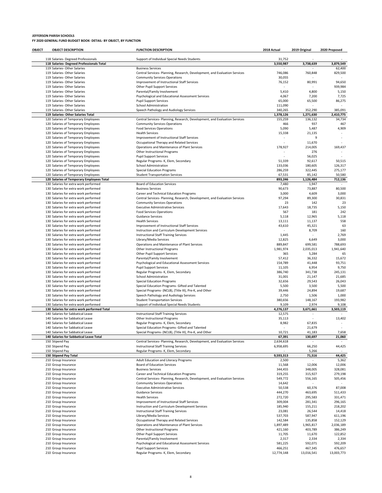| OBJECT | <b>OBJECT DESCRIPTION</b>                                                        | <b>FUNCTION DESCRIPTION</b>                                                                                           | 2018 Actual         | 2019 Original            | 2020 Proposed      |
|--------|----------------------------------------------------------------------------------|-----------------------------------------------------------------------------------------------------------------------|---------------------|--------------------------|--------------------|
|        |                                                                                  |                                                                                                                       |                     |                          |                    |
|        | 118 Salaries- Degreed Professionals<br>118 Salaries- Degreed Professionals Total | Support of Individual Special Needs Students                                                                          | 31,752<br>3,550,987 | 3,738,639                | 3,879,549          |
|        | 119 Salaries- Other Salaries                                                     | <b>Business Services</b>                                                                                              |                     |                          | 62,400             |
|        | 119 Salaries- Other Salaries                                                     | Central Services- Planning, Research, Development, and Evaluation Services                                            | 746,086             | 760,848                  | 829,500            |
|        | 119 Salaries- Other Salaries                                                     | <b>Community Services Operations</b>                                                                                  | 30,055              |                          |                    |
|        | 119 Salaries- Other Salaries                                                     | Improvement of Instructional Staff Services                                                                           | 76,152              | 80,991                   | 94,650             |
|        | 119 Salaries- Other Salaries                                                     | Other Pupil Support Services                                                                                          |                     |                          | 939,984            |
|        | 119 Salaries- Other Salaries<br>119 Salaries- Other Salaries                     | Parental/Family Involvement<br>Psychological and Educational Assessment Services                                      | 5,410<br>4,067      | 4,800<br>7,200           | 5,150<br>7,725     |
|        | 119 Salaries- Other Salaries                                                     | <b>Pupil Support Services</b>                                                                                         | 65,000              | 65,500                   | 86,275             |
|        | 119 Salaries- Other Salaries                                                     | <b>School Administration</b>                                                                                          | 111,090             |                          |                    |
|        | 119 Salaries- Other Salaries                                                     | Speech Pathology and Audiology Services                                                                               | 340,265             | 352,290                  | 385,091            |
|        | 119 Salaries- Other Salaries Total                                               |                                                                                                                       | 1,378,126           | 1,271,630                | 2,410,775          |
|        | 120 Salaries of Temporary Employees                                              | Central Services- Planning, Research, Development, and Evaluation Services                                            | 155,259             | 136,132                  | 34,734             |
|        | 120 Salaries of Temporary Employees                                              | <b>Community Services Operations</b>                                                                                  | 466                 | 937                      | 467                |
|        | 120 Salaries of Temporary Employees<br>120 Salaries of Temporary Employees       | <b>Food Services Operations</b><br><b>Health Services</b>                                                             | 5,090<br>15,338     | 5,487<br>21,135          | 4,909              |
|        | 120 Salaries of Temporary Employees                                              | Improvement of Instructional Staff Services                                                                           | ٠                   | 9                        |                    |
|        | 120 Salaries of Temporary Employees                                              | Occupational Therapy and Related Services                                                                             | ÷,                  | 11,670                   |                    |
|        | 120 Salaries of Temporary Employees                                              | Operations and Maintenance of Plant Services                                                                          | 178,927             | 214,005                  | 169,437            |
|        | 120 Salaries of Temporary Employees                                              | Other Instructional Programs                                                                                          |                     | 276                      | ٠                  |
|        | 120 Salaries of Temporary Employees                                              | <b>Pupil Support Services</b>                                                                                         |                     | 56,025                   |                    |
|        | 120 Salaries of Temporary Employees                                              | Regular Programs- K, Elem, Secondary                                                                                  | 51,339              | 92,617                   | 50,515             |
|        | 120 Salaries of Temporary Employees                                              | School Administration                                                                                                 | 133,036             | 180,605                  | 126,317            |
|        | 120 Salaries of Temporary Employees<br>120 Salaries of Temporary Employees       | <b>Special Education Programs</b><br><b>Student Transportation Services</b>                                           | 286,259<br>67,531   | 322,445<br>85,142        | 275,177<br>50,580  |
|        | 120 Salaries of Temporary Employees Total                                        |                                                                                                                       | 893,246             | 1,126,484                | 712,136            |
|        | 130 Salaries for extra work performed                                            | <b>Board of Education Services</b>                                                                                    | 7,480               | 1,947                    |                    |
|        | 130 Salaries for extra work performed                                            | <b>Business Services</b>                                                                                              | 90,673              | 73,887                   | 80,500             |
|        | 130 Salaries for extra work performed                                            | Career and Technical Education Programs                                                                               | 3,000               | 4,609                    | 3,000              |
|        | 130 Salaries for extra work performed                                            | Central Services- Planning, Research, Development, and Evaluation Services                                            | 97,294              | 89,300                   | 30,831             |
|        | 130 Salaries for extra work performed                                            | <b>Community Services Operations</b>                                                                                  | 23                  | 142                      | 23                 |
|        | 130 Salaries for extra work performed                                            | <b>Executive Administrative Services</b>                                                                              | 17,643              | 18,735                   | 5,150              |
|        | 130 Salaries for extra work performed<br>130 Salaries for extra work performed   | <b>Food Services Operations</b><br><b>Guidance Services</b>                                                           | 567<br>5,118        | 181<br>12,965            | 242<br>5,118       |
|        | 130 Salaries for extra work performed                                            | <b>Health Services</b>                                                                                                | 13,111              | 11,137                   | 558                |
|        | 130 Salaries for extra work performed                                            | Improvement of Instructional Staff Services                                                                           | 43,610              | 45,321                   | 63                 |
|        | 130 Salaries for extra work performed                                            | Instruction and Curriculum Development Services                                                                       | $\sim$              | 8,709                    | 160                |
|        | 130 Salaries for extra work performed                                            | <b>Instructional Staff Training Services</b>                                                                          | 1,445               | $\overline{\phantom{a}}$ | 2,769              |
|        | 130 Salaries for extra work performed                                            | Library/Media Services                                                                                                | 12,825              | 6,649                    | 3,000              |
|        | 130 Salaries for extra work performed                                            | Operations and Maintenance of Plant Services                                                                          | 889,847             | 699,581                  | 788,693            |
|        | 130 Salaries for extra work performed                                            | Other Instructional Programs                                                                                          | 1,981,974           | 2,035,013                | 1,941,640          |
|        | 130 Salaries for extra work performed<br>130 Salaries for extra work performed   | Other Pupil Support Services<br>Parental/Family Involvement                                                           | 365<br>57,412       | 5,284<br>36,332          | 65<br>15,672       |
|        | 130 Salaries for extra work performed                                            | Psychological and Educational Assessment Services                                                                     | 154,789             | 41,448                   | 93,751             |
|        | 130 Salaries for extra work performed                                            | <b>Pupil Support Services</b>                                                                                         | 11,105              | 6,954                    | 9,750              |
|        | 130 Salaries for extra work performed                                            | Regular Programs- K, Elem, Secondary                                                                                  | 386,740             | 341,738                  | 245,131            |
|        | 130 Salaries for extra work performed                                            | School Administration                                                                                                 | 31,001              | 21,147                   | 21,685             |
|        | 130 Salaries for extra work performed                                            | <b>Special Education Programs</b>                                                                                     | 32,656              | 29,543                   | 26,043             |
|        | 130 Salaries for extra work performed                                            | Special Education Programs- Gifted and Talented                                                                       | 5,500               | 3,500                    | 5,500              |
|        | 130 Salaries for extra work performed                                            | Special Programs- (NCLB), (Title III), Pre-K, and Other                                                               | 39,446              | 24,894                   | 19,687             |
|        | 130 Salaries for extra work performed<br>130 Salaries for extra work performed   | Speech Pathology and Audiology Services<br><b>Student Transportation Services</b>                                     | 2,750<br>380,656    | 1,506<br>148,167         | 1,000<br>193,982   |
|        | 130 Salaries for extra work performed                                            | Support of Individual Special Needs Students                                                                          | 9,109               | 2,974                    | 9,108              |
|        | 130 Salaries for extra work performed Total                                      |                                                                                                                       | 4,276,137           | 3,671,661                | 3,503,119          |
|        | 140 Salaries for Sabbatical Leave                                                | <b>Instructional Staff Training Services</b>                                                                          | 12,575              |                          |                    |
|        | 140 Salaries for Sabbatical Leave                                                | Other Instructional Programs                                                                                          | 35,113              |                          | 13,402             |
|        | 140 Salaries for Sabbatical Leave                                                | Regular Programs- K, Elem, Secondary                                                                                  | 8,982               | 67,835                   |                    |
|        | 140 Salaries for Sabbatical Leave                                                | Special Education Programs- Gifted and Talented                                                                       |                     | 21,679                   |                    |
|        | 140 Salaries for Sabbatical Leave                                                | Special Programs- (NCLB), (Title III), Pre-K, and Other                                                               | 10,721<br>67,391    | 41,183                   | 7,658              |
|        | 140 Salaries for Sabbatical Leave Total<br>150 Stipend Pay                       | Central Services- Planning, Research, Development, and Evaluation Services                                            | 2,634,618           | 130,697                  | 21,060             |
|        | 150 Stipend Pay                                                                  | <b>Instructional Staff Training Services</b>                                                                          | 6,958,695           | 66,250                   | 44,425             |
|        | 150 Stipend Pay                                                                  | Regular Programs- K, Elem, Secondary                                                                                  |                     | 5,266                    |                    |
|        | 150 Stipend Pay Total                                                            |                                                                                                                       | 9,593,313           | 71,516                   | 44,425             |
|        | 210 Group Insurance                                                              | Adult Education and Literacy Programs                                                                                 | 2,500               |                          | 5,362              |
|        | 210 Group Insurance                                                              | Board of Education Services                                                                                           | 11,568              | 12,006                   | 12,006             |
|        | 210 Group Insurance                                                              | <b>Business Services</b>                                                                                              | 344,455             | 348,005                  | 328,081            |
|        | 210 Group Insurance<br>210 Group Insurance                                       | Career and Technical Education Programs<br>Central Services- Planning, Research, Development, and Evaluation Services | 319,255<br>549,772  | 315,927                  | 279,198            |
|        | 210 Group Insurance                                                              | <b>Community Services Operations</b>                                                                                  | 14,642              | 556,165                  | 505,456            |
|        | 210 Group Insurance                                                              | <b>Executive Administrative Services</b>                                                                              | 50,538              | 60,376                   | 87,008             |
|        | 210 Group Insurance                                                              | Guidance Services                                                                                                     | 444,270             | 463,695                  | 511,433            |
|        | 210 Group Insurance                                                              | <b>Health Services</b>                                                                                                | 272,720             | 295,583                  | 331,471            |
|        | 210 Group Insurance                                                              | Improvement of Instructional Staff Services                                                                           | 309,004             | 281,341                  | 296,165            |
|        | 210 Group Insurance                                                              | Instruction and Curriculum Development Services                                                                       | 185,940             | 155,211                  | 218,202            |
|        | 210 Group Insurance                                                              | <b>Instructional Staff Training Services</b>                                                                          | 23,081              | 26,544                   | 14,418             |
|        | 210 Group Insurance<br>210 Group Insurance                                       | Library/Media Services                                                                                                | 537,703<br>142,584  | 587,947                  | 611,196<br>152,129 |
|        | 210 Group Insurance                                                              | Occupational Therapy and Related Services<br>Operations and Maintenance of Plant Services                             | 1,897,489           | 135,858<br>1,965,817     | 2,036,189          |
|        | 210 Group Insurance                                                              | Other Instructional Programs                                                                                          | 421,160             | 403,789                  | 386,249            |
|        | 210 Group Insurance                                                              | Other Pupil Support Services                                                                                          | 11,705              | 11,670                   | 122,852            |
|        | 210 Group Insurance                                                              | Parental/Family Involvement                                                                                           | 2,317               | 2,334                    | 2,334              |
|        | 210 Group Insurance                                                              | Psychological and Educational Assessment Services                                                                     | 581,225             | 592,071                  | 592,209            |
|        | 210 Group Insurance                                                              | <b>Pupil Support Services</b>                                                                                         | 466,251             | 467,345                  | 476,657            |
|        | 210 Group Insurance                                                              | Regular Programs- K, Elem, Secondary                                                                                  | 12,774,148          | 13,016,541               | 13,003,773         |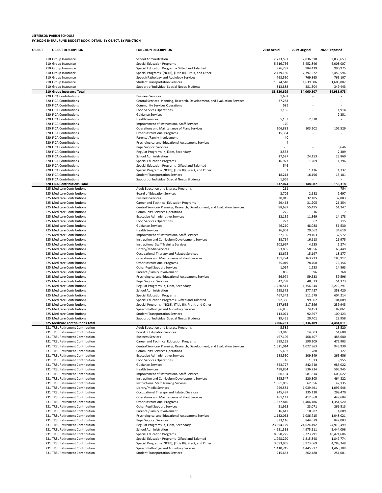| OBJECT | <b>OBJECT DESCRIPTION</b>                                            | <b>FUNCTION DESCRIPTION</b>                                                               | 2018 Actual           | 2019 Original         | 2020 Proposed            |
|--------|----------------------------------------------------------------------|-------------------------------------------------------------------------------------------|-----------------------|-----------------------|--------------------------|
|        | 210 Group Insurance                                                  | <b>School Administration</b>                                                              | 2,773,591             | 2,836,310             | 2,838,653                |
|        | 210 Group Insurance                                                  | <b>Special Education Programs</b>                                                         | 5,516,756             | 5,452,846             | 6,003,007                |
|        | 210 Group Insurance                                                  | Special Education Programs- Gifted and Talented                                           | 976,787               | 984,429               | 990,975                  |
|        | 210 Group Insurance                                                  | Special Programs- (NCLB), (Title III), Pre-K, and Other                                   | 2,439,180             | 2,397,522             | 2,459,596                |
|        | 210 Group Insurance                                                  | Speech Pathology and Audiology Services                                                   | 763.550               | 769,865               | 765,107                  |
|        | 210 Group Insurance<br>210 Group Insurance                           | <b>Student Transportation Services</b><br>Support of Individual Special Needs Students    | 1,674,548<br>313,888  | 1,639,606<br>281,504  | 1,606,807<br>349,443     |
|        | 210 Group Insurance Total                                            |                                                                                           | 33,820,629            | 34,060,307            | 34,985,973               |
|        | 220 FICA Contributions                                               | <b>Business Services</b>                                                                  | 1,682                 |                       |                          |
|        | 220 FICA Contributions                                               | Central Services- Planning, Research, Development, and Evaluation Services                | 37,283                |                       |                          |
|        | 220 FICA Contributions                                               | <b>Community Services Operations</b>                                                      | 589                   |                       |                          |
|        | 220 FICA Contributions                                               | <b>Food Services Operations</b>                                                           | 1,165                 |                       | 1,914                    |
|        | 220 FICA Contributions<br>220 FICA Contributions                     | <b>Guidance Services</b><br><b>Health Services</b>                                        | 5,133                 | 2,310                 | 2,351<br>٠               |
|        | 220 FICA Contributions                                               | Improvement of Instructional Staff Services                                               | 170                   |                       |                          |
|        | 220 FICA Contributions                                               | Operations and Maintenance of Plant Services                                              | 106,883               | 103,102               | 102,529                  |
|        | 220 FICA Contributions                                               | Other Instructional Programs                                                              | 15,364                |                       |                          |
|        | 220 FICA Contributions                                               | Parental/Family Involvement                                                               | 40                    |                       | $\overline{\phantom{a}}$ |
|        | 220 FICA Contributions                                               | Psychological and Educational Assessment Services                                         | 4                     |                       |                          |
|        | 220 FICA Contributions<br>220 FICA Contributions                     | <b>Pupil Support Services</b><br>Regular Programs- K, Elem, Secondary                     | 3,533                 |                       | 5,646<br>2,309           |
|        | 220 FICA Contributions                                               | <b>School Administration</b>                                                              | 27,527                | 24,153                | 23,860                   |
|        | 220 FICA Contributions                                               | <b>Special Education Programs</b>                                                         | 16,973                | 1,209                 | 1,396                    |
|        | 220 FICA Contributions                                               | Special Education Programs- Gifted and Talented                                           | 546                   |                       |                          |
|        | 220 FICA Contributions                                               | Special Programs- (NCLB), (Title III), Pre-K, and Other                                   | $\mathbf{1}$          | 1,116                 | 1,132                    |
|        | 220 FICA Contributions                                               | <b>Student Transportation Services</b>                                                    | 18,213                | 16,196                | 15,181                   |
|        | 220 FICA Contributions                                               | Support of Individual Special Needs Students                                              | 1,969<br>237.074      |                       | 156.318                  |
|        | 220 FICA Contributions Total<br>225 Medicare Contributions           | Adult Education and Literacy Programs                                                     | 261                   | 148,087               | 754                      |
|        | 225 Medicare Contributions                                           | <b>Board of Education Services</b>                                                        | 2,702                 | 2,682                 | 2,697                    |
|        | 225 Medicare Contributions                                           | <b>Business Services</b>                                                                  | 30,015                | 32,185                | 32,883                   |
|        | 225 Medicare Contributions                                           | Career and Technical Education Programs                                                   | 29,463                | 31,205                | 26,354                   |
|        | 225 Medicare Contributions                                           | Central Services- Planning, Research, Development, and Evaluation Services                | 88,687                | 55,495                | 51,247                   |
|        | 225 Medicare Contributions                                           | <b>Community Services Operations</b>                                                      | 275                   | 16                    |                          |
|        | 225 Medicare Contributions<br>225 Medicare Contributions             | <b>Executive Administrative Services</b><br><b>Food Services Operations</b>               | 12,159<br>273         | 11,369<br>82          | 14,178<br>715            |
|        | 225 Medicare Contributions                                           | <b>Guidance Services</b>                                                                  | 46,260                | 48,088                | 56,530                   |
|        | 225 Medicare Contributions                                           | <b>Health Services</b>                                                                    | 26,901                | 29,662                | 34,610                   |
|        | 225 Medicare Contributions                                           | Improvement of Instructional Staff Services                                               | 27,169                | 29,103                | 32,572                   |
|        | 225 Medicare Contributions                                           | Instruction and Curriculum Development Services                                           | 18,764                | 16,113                | 26,975                   |
|        | 225 Medicare Contributions                                           | <b>Instructional Staff Training Services</b>                                              | 102,697               | 4,135                 | 2,274                    |
|        | 225 Medicare Contributions                                           | Library/Media Services                                                                    | 53,835                | 58,956                | 65,449                   |
|        | 225 Medicare Contributions<br>225 Medicare Contributions             | Occupational Therapy and Related Services<br>Operations and Maintenance of Plant Services | 13,675<br>151,274     | 15,197<br>163,223     | 18,277<br>183,912        |
|        | 225 Medicare Contributions                                           | Other Instructional Programs                                                              | 75,019                | 78,708                | 76,156                   |
|        | 225 Medicare Contributions                                           | Other Pupil Support Services                                                              | 1,054                 | 1,253                 | 14,863                   |
|        | 225 Medicare Contributions                                           | Parental/Family Involvement                                                               | 885                   | 596                   | 268                      |
|        | 225 Medicare Contributions                                           | Psychological and Educational Assessment Services                                         | 56,974                | 59,533                | 59,596                   |
|        | 225 Medicare Contributions                                           | <b>Pupil Support Services</b>                                                             | 42,788                | 48,513                | 51,373                   |
|        | 225 Medicare Contributions<br>225 Medicare Contributions             | Regular Programs- K, Elem, Secondary<br><b>School Administration</b>                      | 1,220,511<br>258,373  | 1,356,644<br>277,427  | 2,219,291<br>358,420     |
|        | 225 Medicare Contributions                                           | <b>Special Education Programs</b>                                                         | 467,342               | 511,679               | 604,214                  |
|        | 225 Medicare Contributions                                           | Special Education Programs- Gifted and Talented                                           | 92,360                | 99,502                | 104,009                  |
|        | 225 Medicare Contributions                                           | Special Programs- (NCLB), (Title III), Pre-K, and Other                                   | 187,655               | 217,596               | 239,943                  |
|        | 225 Medicare Contributions                                           | Speech Pathology and Audiology Services                                                   | 66,835                | 74,453                | 82,061                   |
|        | 225 Medicare Contributions                                           | <b>Student Transportation Services</b>                                                    | 113,071               | 92,597                | 100,423                  |
|        | 225 Medicare Contributions<br>225 Medicare Contributions Total       | Support of Individual Special Needs Students                                              | 19,455<br>3,206,731   | 20,401<br>3,336,409   | 23,958<br>4,484,011      |
|        | 231 TRSL Retirement Contribution                                     | Adult Education and Literacy Programs                                                     | 5,582                 | ÷                     | 13,520                   |
|        | 231 TRSL Retirement Contribution                                     | <b>Board of Education Services</b>                                                        | 53,940                | 14,003                | 51,600                   |
|        | 231 TRSL Retirement Contribution                                     | <b>Business Services</b>                                                                  | 467,196               | 468,407               | 488,680                  |
|        | 231 TRSL Retirement Contribution                                     | Career and Technical Education Programs                                                   | 589,155               | 590,109               | 472,903                  |
|        | 231 TRSL Retirement Contribution<br>231 TRSL Retirement Contribution | Central Services- Planning, Research, Development, and Evaluation Services                | 1,521,014             | 1,027,963             | 943,930                  |
|        | 231 TRSL Retirement Contribution                                     | <b>Community Services Operations</b><br><b>Executive Administrative Services</b>          | 5,492<br>188,550      | 288<br>209,349        | 127<br>265,656           |
|        | 231 TRSL Retirement Contribution                                     | <b>Food Services Operations</b>                                                           | 48                    | 1,513                 | 9,955                    |
|        | 231 TRSL Retirement Contribution                                     | <b>Guidance Services</b>                                                                  | 853,727               | 842,640               | 985,022                  |
|        | 231 TRSL Retirement Contribution                                     | <b>Health Services</b>                                                                    | 498,854               | 536,234               | 593,945                  |
|        | 231 TRSL Retirement Contribution                                     | Improvement of Instructional Staff Services                                               | 600,194               | 581,814               | 603,622                  |
|        | 231 TRSL Retirement Contribution                                     | Instruction and Curriculum Development Services                                           | 395,547               | 320,305               | 464,822                  |
|        | 231 TRSL Retirement Contribution<br>231 TRSL Retirement Contribution | <b>Instructional Staff Training Services</b><br>Library/Media Services                    | 1,861,035<br>999,584  | 62,656<br>1,039,491   | 42,135<br>1,097,546      |
|        | 231 TRSL Retirement Contribution                                     | Occupational Therapy and Related Services                                                 | 245,497               | 235,138               | 299,470                  |
|        | 231 TRSL Retirement Contribution                                     | Operations and Maintenance of Plant Services                                              | 161,141               | 412,860               | 447,604                  |
|        | 231 TRSL Retirement Contribution                                     | Other Instructional Programs                                                              | 1,337,810             | 1,406,186             | 1,354,520                |
|        | 231 TRSL Retirement Contribution                                     | Other Pupil Support Services                                                              | 21,913                | 23,071                | 266,513                  |
|        | 231 TRSL Retirement Contribution                                     | Parental/Family Involvement                                                               | 16,612                | 10,982                | 4,809                    |
|        | 231 TRSL Retirement Contribution<br>231 TRSL Retirement Contribution | Psychological and Educational Assessment Services                                         | 1,132,063             | 1,086,715             | 1,048,021                |
|        | 231 TRSL Retirement Contribution                                     | <b>Pupil Support Services</b><br>Regular Programs- K, Elem, Secondary                     | 833,116<br>23,594,129 | 844,079<br>24,624,492 | 842,083<br>24,916,499    |
|        | 231 TRSL Retirement Contribution                                     | <b>School Administration</b>                                                              | 4,981,538             | 4,975,511             | 5,444,096                |
|        | 231 TRSL Retirement Contribution                                     | <b>Special Education Programs</b>                                                         | 8,850,275             | 9,223,291             | 10,471,606               |
|        | 231 TRSL Retirement Contribution                                     | Special Education Programs- Gifted and Talented                                           | 1,798,290             | 1,815,348             | 1,849,774                |
|        | 231 TRSL Retirement Contribution                                     | Special Programs- (NCLB), (Title III), Pre-K, and Other                                   | 3,683,965             | 3,973,069             | 4,288,248                |
|        | 231 TRSL Retirement Contribution                                     | Speech Pathology and Audiology Services                                                   | 1,410,745             | 1,445,917             | 1,460,709                |
|        | 231 TRSL Retirement Contribution                                     | <b>Student Transportation Services</b>                                                    | 215,633               | 262,480               | 251,001                  |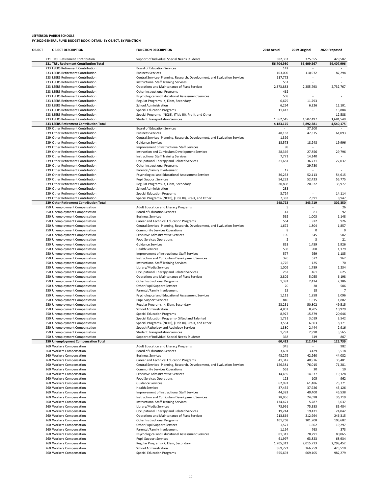| OBJECT | <b>OBJECT DESCRIPTION</b>                                                    | <b>FUNCTION DESCRIPTION</b>                                                                                                | 2018 Actual           | 2019 Original          | 2020 Proposed       |
|--------|------------------------------------------------------------------------------|----------------------------------------------------------------------------------------------------------------------------|-----------------------|------------------------|---------------------|
|        | 231 TRSL Retirement Contribution                                             | Support of Individual Special Needs Students                                                                               | 382,333               | 375,655                | 429,582             |
|        | 231 TRSL Retirement Contribution Total                                       |                                                                                                                            | 56,704,980            | 56,409,567             | 59,407,996          |
|        | 233 LSERS Retirement Contribution                                            | Board of Education Services                                                                                                | 142                   |                        |                     |
|        | 233 LSERS Retirement Contribution                                            | <b>Business Services</b>                                                                                                   | 103,006               | 110,972                | 87,294              |
|        | 233 LSERS Retirement Contribution<br>233 LSERS Retirement Contribution       | Central Services- Planning, Research, Development, and Evaluation Services<br><b>Instructional Staff Training Services</b> | 117,773<br>551        | ä,                     |                     |
|        | 233 LSERS Retirement Contribution                                            | Operations and Maintenance of Plant Services                                                                               | 2,373,833             | 2,255,793              | 2,732,767           |
|        | 233 LSERS Retirement Contribution                                            | <b>Other Instructional Programs</b>                                                                                        | 462                   |                        |                     |
|        | 233 LSERS Retirement Contribution                                            | Psychological and Educational Assessment Services                                                                          | 508                   |                        |                     |
|        | 233 LSERS Retirement Contribution                                            | Regular Programs- K, Elem, Secondary                                                                                       | 6,679                 | 11,793                 |                     |
|        | 233 LSERS Retirement Contribution                                            | <b>School Administration</b>                                                                                               | 6,264                 | 6,326                  | 12,101              |
|        | 233 LSERS Retirement Contribution                                            | <b>Special Education Programs</b>                                                                                          | 11,413                | ä,                     | 13,884              |
|        | 233 LSERS Retirement Contribution                                            | Special Programs- (NCLB), (Title III), Pre-K, and Other<br><b>Student Transportation Services</b>                          | 1,562,545             |                        | 12,588<br>1,681,540 |
|        | 233 LSERS Retirement Contribution<br>233 LSERS Retirement Contribution Total |                                                                                                                            | 4,183,175             | 1,507,497<br>3,892,381 | 4,540,175           |
|        | 239 Other Retirement Contribution                                            | <b>Board of Education Services</b>                                                                                         |                       | 37,100                 |                     |
|        | 239 Other Retirement Contribution                                            | <b>Business Services</b>                                                                                                   | 48,183                | 47,375                 | 61,093              |
|        | 239 Other Retirement Contribution                                            | Central Services- Planning, Research, Development, and Evaluation Services                                                 | 1,399                 |                        | $\sim$              |
|        | 239 Other Retirement Contribution                                            | Guidance Services                                                                                                          | 18,573                | 18,248                 | 19,996              |
|        | 239 Other Retirement Contribution                                            | Improvement of Instructional Staff Services                                                                                | 98                    |                        | $\sim$              |
|        | 239 Other Retirement Contribution                                            | Instruction and Curriculum Development Services                                                                            | 28,366                | 27,856                 | 29,796              |
|        | 239 Other Retirement Contribution<br>239 Other Retirement Contribution       | Instructional Staff Training Services<br>Occupational Therapy and Related Services                                         | 7,771<br>21,681       | 14,140<br>36,771       | $\sim$<br>22,037    |
|        | 239 Other Retirement Contribution                                            | Other Instructional Programs                                                                                               |                       | 29,780                 | $\sim$              |
|        | 239 Other Retirement Contribution                                            | Parental/Family Involvement                                                                                                | 17                    |                        |                     |
|        | 239 Other Retirement Contribution                                            | Psychological and Educational Assessment Services                                                                          | 36,253                | 52,113                 | 54,615              |
|        | 239 Other Retirement Contribution                                            | <b>Pupil Support Services</b>                                                                                              | 54,233                | 52,423                 | 55,775              |
|        | 239 Other Retirement Contribution                                            | Regular Programs- K, Elem, Secondary                                                                                       | 20,808                | 20,522                 | 35,977              |
|        | 239 Other Retirement Contribution                                            | <b>School Administration</b>                                                                                               | 233                   | J.                     |                     |
|        | 239 Other Retirement Contribution                                            | <b>Special Education Programs</b>                                                                                          | 3,724                 |                        | 14,114              |
|        | 239 Other Retirement Contribution<br>239 Other Retirement Contribution Total | Special Programs- (NCLB), (Title III), Pre-K, and Other                                                                    | 7,383<br>248,723      | 7,391<br>343,719       | 8,947<br>302,350    |
|        | 250 Unemployment Compensation                                                | Adult Education and Literacy Programs                                                                                      | 5                     |                        | 26                  |
|        | 250 Unemployment Compensation                                                | <b>Board of Education Services</b>                                                                                         | 47                    | 81                     | 92                  |
|        | 250 Unemployment Compensation                                                | <b>Business Services</b>                                                                                                   | 562                   | 1,003                  | 1,148               |
|        | 250 Unemployment Compensation                                                | Career and Technical Education Programs                                                                                    | 564                   | 972                    | 926                 |
|        | 250 Unemployment Compensation                                                | Central Services- Planning, Research, Development, and Evaluation Services                                                 | 1,672                 | 1,804                  | 1,857               |
|        | 250 Unemployment Compensation                                                | <b>Community Services Operations</b>                                                                                       | 8                     | $\mathbf 0$            | 0                   |
|        | 250 Unemployment Compensation                                                | <b>Executive Administrative Services</b>                                                                                   | 190                   | 345                    | 502                 |
|        | 250 Unemployment Compensation<br>250 Unemployment Compensation               | <b>Food Services Operations</b><br>Guidance Services                                                                       | $\overline{2}$<br>853 | 3<br>1,459             | 21<br>1,926         |
|        | 250 Unemployment Compensation                                                | <b>Health Services</b>                                                                                                     | 508                   | 900                    | 1,179               |
|        | 250 Unemployment Compensation                                                | Improvement of Instructional Staff Services                                                                                | 577                   | 959                    | 1,185               |
|        | 250 Unemployment Compensation                                                | Instruction and Curriculum Development Services                                                                            | 376                   | 572                    | 962                 |
|        | 250 Unemployment Compensation                                                | Instructional Staff Training Services                                                                                      | 1,776                 | 125                    | 70                  |
|        | 250 Unemployment Compensation                                                | Library/Media Services                                                                                                     | 1,009                 | 1,789                  | 2,234               |
|        | 250 Unemployment Compensation                                                | Occupational Therapy and Related Services                                                                                  | 262                   | 461                    | 625                 |
|        | 250 Unemployment Compensation                                                | Operations and Maintenance of Plant Services                                                                               | 2,802                 | 5,055                  | 6,198               |
|        | 250 Unemployment Compensation<br>250 Unemployment Compensation               | Other Instructional Programs<br>Other Pupil Support Services                                                               | 1,381<br>20           | 2,414<br>38            | 2,286<br>506        |
|        | 250 Unemployment Compensation                                                | Parental/Family Involvement                                                                                                | 15                    | 18                     | $\overline{7}$      |
|        | 250 Unemployment Compensation                                                | Psychological and Educational Assessment Services                                                                          | 1,111                 | 1,858                  | 2,096               |
|        | 250 Unemployment Compensation                                                | <b>Pupil Support Services</b>                                                                                              | 840                   | 1,515                  | 1,802               |
|        | 250 Unemployment Compensation                                                | Regular Programs- K, Elem, Secondary                                                                                       | 23,251                | 50,802                 | 49,515              |
|        | 250 Unemployment Compensation                                                | <b>School Administration</b>                                                                                               | 4,851                 | 8,705                  | 10,929              |
|        | 250 Unemployment Compensation                                                | <b>Special Education Programs</b>                                                                                          | 8,927                 | 15,879                 | 20,646              |
|        | 250 Unemployment Compensation                                                | Special Education Programs- Gifted and Talented                                                                            | 1,731                 | 3,019                  | 3,542               |
|        | 250 Unemployment Compensation                                                | Special Programs- (NCLB), (Title III), Pre-K, and Other                                                                    | 3,554                 | 6,603<br>2,444         | 8,171<br>2,916      |
|        | 250 Unemployment Compensation<br>250 Unemployment Compensation               | Speech Pathology and Audiology Services<br><b>Student Transportation Services</b>                                          | 1,380<br>1,781        | 2,990                  | 3,565               |
|        | 250 Unemployment Compensation                                                | Support of Individual Special Needs Students                                                                               | 368                   | 619                    | 807                 |
|        | 250 Unemployment Compensation Total                                          |                                                                                                                            | 60,423                | 112,434                | 125,739             |
|        | 260 Workers Compensation                                                     | Adult Education and Literacy Programs                                                                                      | 345                   |                        | 982                 |
|        | 260 Workers Compensation                                                     | <b>Board of Education Services</b>                                                                                         | 3,601                 | 3,429                  | 3,518               |
|        | 260 Workers Compensation                                                     | <b>Business Services</b>                                                                                                   | 43,279                | 42,260                 | 44,082              |
|        | 260 Workers Compensation                                                     | Career and Technical Education Programs                                                                                    | 41,347                | 40,976                 | 35,481              |
|        | 260 Workers Compensation                                                     | Central Services- Planning, Research, Development, and Evaluation Services                                                 | 126,381               | 76,015                 | 71,281              |
|        | 260 Workers Compensation<br>260 Workers Compensation                         | <b>Community Services Operations</b><br><b>Executive Administrative Services</b>                                           | 563<br>14,459         | 20<br>14,537           | 10<br>19,128        |
|        | 260 Workers Compensation                                                     | <b>Food Services Operations</b>                                                                                            | 123                   | 105                    | 962                 |
|        | 260 Workers Compensation                                                     | <b>Guidance Services</b>                                                                                                   | 62,991                | 61,486                 | 73,771              |
|        | 260 Workers Compensation                                                     | <b>Health Services</b>                                                                                                     | 37,455                | 37,926                 | 45,126              |
|        | 260 Workers Compensation                                                     | Improvement of Instructional Staff Services                                                                                | 44,382                | 40,400                 | 45,538              |
|        | 260 Workers Compensation                                                     | Instruction and Curriculum Development Services                                                                            | 28,956                | 24,098                 | 36,719              |
|        | 260 Workers Compensation                                                     | Instructional Staff Training Services                                                                                      | 134,421               | 5,287                  | 3,037               |
|        | 260 Workers Compensation                                                     | Library/Media Services                                                                                                     | 73,991                | 75,383                 | 85,484              |
|        | 260 Workers Compensation<br>260 Workers Compensation                         | Occupational Therapy and Related Services<br>Operations and Maintenance of Plant Services                                  | 19,244<br>213,864     | 19,431<br>212,994      | 24,042<br>246,315   |
|        | 260 Workers Compensation                                                     | Other Instructional Programs                                                                                               | 101,268               | 101,708                | 103,682             |
|        | 260 Workers Compensation                                                     | Other Pupil Support Services                                                                                               | 1,527                 | 1,602                  | 19,297              |
|        | 260 Workers Compensation                                                     | Parental/Family Involvement                                                                                                | 1,194                 | 763                    | 373                 |
|        | 260 Workers Compensation                                                     | Psychological and Educational Assessment Services                                                                          | 81,312                | 78,291                 | 80,065              |
|        | 260 Workers Compensation                                                     | <b>Pupil Support Services</b>                                                                                              | 61,997                | 63,823                 | 68,934              |
|        | 260 Workers Compensation                                                     | Regular Programs- K, Elem, Secondary                                                                                       | 1,705,312             | 2,015,713              | 2,298,452           |
|        | 260 Workers Compensation                                                     | <b>School Administration</b>                                                                                               | 369,772               | 366,759                | 423,510             |
|        | 260 Workers Compensation                                                     | <b>Special Education Programs</b>                                                                                          | 655,693               | 669,105                | 982,279             |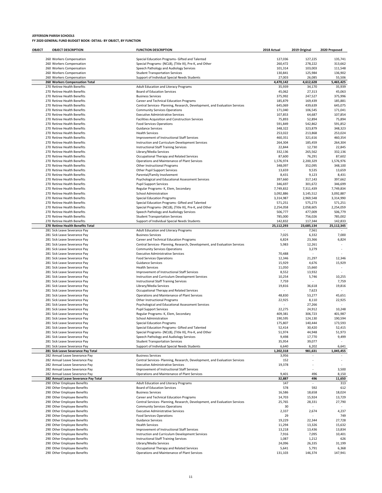| OBJECT | <b>OBJECT DESCRIPTION</b>                                        | <b>FUNCTION DESCRIPTION</b>                                                                                        | 2018 Actual        | 2019 Original      | 2020 Proposed      |
|--------|------------------------------------------------------------------|--------------------------------------------------------------------------------------------------------------------|--------------------|--------------------|--------------------|
|        |                                                                  |                                                                                                                    |                    |                    |                    |
|        | 260 Workers Compensation                                         | Special Education Programs- Gifted and Talented                                                                    | 127,036<br>260,472 | 127,225            | 135,741            |
|        | 260 Workers Compensation<br>260 Workers Compensation             | Special Programs- (NCLB), (Title III), Pre-K, and Other<br>Speech Pathology and Audiology Services                 | 101,314            | 278,222<br>103,003 | 313,662<br>111,548 |
|        | 260 Workers Compensation                                         | <b>Student Transportation Services</b>                                                                             | 130,841            | 125,984            | 136,902            |
|        | 260 Workers Compensation                                         | Support of Individual Special Needs Students                                                                       | 27,003             | 26,085             | 55,506             |
|        | 260 Workers Compensation Total                                   |                                                                                                                    | 4,470,142          | 4,612,628          | 5,465,425          |
|        | 270 Retiree Health Benefits                                      | Adult Education and Literacy Programs                                                                              | 35,939             | 34,170             | 35,939             |
|        | 270 Retiree Health Benefits                                      | Board of Education Services                                                                                        | 45,062             | 27,313             | 45,063             |
|        | 270 Retiree Health Benefits<br>270 Retiree Health Benefits       | <b>Business Services</b><br>Career and Technical Education Programs                                                | 375,992<br>185,879 | 247,527<br>169,439 | 375,996<br>185,881 |
|        | 270 Retiree Health Benefits                                      | Central Services- Planning, Research, Development, and Evaluation Services                                         | 645,069            | 439,639            | 645,075            |
|        | 270 Retiree Health Benefits                                      | <b>Community Services Operations</b>                                                                               | 171,040            | 106,545            | 171,041            |
|        | 270 Retiree Health Benefits                                      | <b>Executive Administrative Services</b>                                                                           | 107,853            | 64,687             | 107,854            |
|        | 270 Retiree Health Benefits                                      | Facilities Acquisition and Construction Services                                                                   | 75,893             | 52,894             | 75,894             |
|        | 270 Retiree Health Benefits                                      | <b>Food Services Operations</b>                                                                                    | 591,849            | 542,862            | 591,852            |
|        | 270 Retiree Health Benefits                                      | <b>Guidance Services</b>                                                                                           | 348,322            | 323,879            | 348,323            |
|        | 270 Retiree Health Benefits<br>270 Retiree Health Benefits       | <b>Health Services</b><br>Improvement of Instructional Staff Services                                              | 253,022<br>460,351 | 213,868<br>321,616 | 253,024<br>460,354 |
|        | 270 Retiree Health Benefits                                      | Instruction and Curriculum Development Services                                                                    | 264,304            | 185,459            | 264,304            |
|        | 270 Retiree Health Benefits                                      | <b>Instructional Staff Training Services</b>                                                                       | 22,844             | 12,730             | 22,845             |
|        | 270 Retiree Health Benefits                                      | Library/Media Services                                                                                             | 332,136            | 265,562            | 332,136            |
|        | 270 Retiree Health Benefits                                      | Occupational Therapy and Related Services                                                                          | 87,600             | 76,291             | 87,602             |
|        | 270 Retiree Health Benefits                                      | Operations and Maintenance of Plant Services                                                                       | 1,576,974          | 2,200,329          | 1,576,976          |
|        | 270 Retiree Health Benefits                                      | Other Instructional Programs                                                                                       | 348,097            | 352,095            | 348,100            |
|        | 270 Retiree Health Benefits<br>270 Retiree Health Benefits       | Other Pupil Support Services<br>Parental/Family Involvement                                                        | 13,659<br>8,431    | 9,535<br>9,123     | 13,659<br>8,431    |
|        | 270 Retiree Health Benefits                                      | Psychological and Educational Assessment Services                                                                  | 397,660            | 317,143            | 397,662            |
|        | 270 Retiree Health Benefits                                      | <b>Pupil Support Services</b>                                                                                      | 346,697            | 301,672            | 346,699            |
|        | 270 Retiree Health Benefits                                      | Regular Programs- K, Elem, Secondary                                                                               | 7,749,832          | 7,311,439          | 7,749,834          |
|        | 270 Retiree Health Benefits                                      | <b>School Administration</b>                                                                                       | 3,092,886          | 3,145,512          | 3,092,887          |
|        | 270 Retiree Health Benefits                                      | <b>Special Education Programs</b>                                                                                  | 3,314,987          | 2,969,548          | 3,314,990          |
|        | 270 Retiree Health Benefits                                      | Special Education Programs- Gifted and Talented                                                                    | 571,251            | 575,273            | 571,251            |
|        | 270 Retiree Health Benefits                                      | Special Programs- (NCLB), (Title III), Pre-K, and Other                                                            | 2,254,058          | 2,058,605          | 2,254,059          |
|        | 270 Retiree Health Benefits<br>270 Retiree Health Benefits       | Speech Pathology and Audiology Services<br><b>Student Transportation Services</b>                                  | 506,777<br>785,000 | 477,009<br>756,026 | 506,779<br>785,002 |
|        | 270 Retiree Health Benefits                                      | Support of Individual Special Needs Students                                                                       | 142,832            | 117,344            | 142,833            |
|        | 270 Retiree Health Benefits Total                                |                                                                                                                    | 25,112,293         | 23,685,134         | 25,112,345         |
|        | 281 Sick Leave Severance Pay                                     | Adult Education and Literacy Programs                                                                              |                    | 7,561              |                    |
|        | 281 Sick Leave Severance Pay                                     | <b>Business Services</b>                                                                                           | 7,025              | 6,332              | 7,000              |
|        | 281 Sick Leave Severance Pay                                     | Career and Technical Education Programs                                                                            | 6,824              | 23,366             | 6,824              |
|        | 281 Sick Leave Severance Pay                                     | Central Services- Planning, Research, Development, and Evaluation Services                                         | 5,983              | 12,261             | ٠<br>÷             |
|        | 281 Sick Leave Severance Pay<br>281 Sick Leave Severance Pay     | <b>Community Services Operations</b><br><b>Executive Administrative Services</b>                                   | 70,488             | 3,279              |                    |
|        | 281 Sick Leave Severance Pay                                     | <b>Food Services Operations</b>                                                                                    | 12,346             | 21,297             | 12,346             |
|        | 281 Sick Leave Severance Pay                                     | <b>Guidance Services</b>                                                                                           | 15,929             | 4,676              | 15,929             |
|        | 281 Sick Leave Severance Pay                                     | <b>Health Services</b>                                                                                             | 11,050             | 15,660             | ٠                  |
|        | 281 Sick Leave Severance Pay                                     | Improvement of Instructional Staff Services                                                                        | 8,552              | 13,932             |                    |
|        | 281 Sick Leave Severance Pay                                     | Instruction and Curriculum Development Services                                                                    | 10,254             | 5,746              | 10,255             |
|        | 281 Sick Leave Severance Pay                                     | <b>Instructional Staff Training Services</b>                                                                       | 7,759              |                    | 7,759              |
|        | 281 Sick Leave Severance Pay<br>281 Sick Leave Severance Pay     | Library/Media Services<br>Occupational Therapy and Related Services                                                | 19,816             | 36,618<br>7,623    | 19,816             |
|        | 281 Sick Leave Severance Pay                                     | Operations and Maintenance of Plant Services                                                                       | 48,830             | 53,277             | 45,651             |
|        | 281 Sick Leave Severance Pay                                     | <b>Other Instructional Programs</b>                                                                                | 22,925             | 8,110              | 22,925             |
|        | 281 Sick Leave Severance Pay                                     | Psychological and Educational Assessment Services                                                                  |                    | 27,266             |                    |
|        | 281 Sick Leave Severance Pav                                     | <b>Pupil Support Services</b>                                                                                      | 22,275             | 24,912             | 10,248             |
|        | 281 Sick Leave Severance Pay                                     | Regular Programs- K, Elem, Secondary                                                                               | 409,381            | 306,723            | 401,987            |
|        | 281 Sick Leave Severance Pay                                     | School Administration                                                                                              | 190,595            | 124,130            | 190,594            |
|        | 281 Sick Leave Severance Pay                                     | <b>Special Education Programs</b><br>Special Education Programs- Gifted and Talented                               | 175,807            | 140,444<br>30,420  | 173,593<br>52,415  |
|        | 281 Sick Leave Severance Pay<br>281 Sick Leave Severance Pay     | Special Programs- (NCLB), (Title III), Pre-K, and Other                                                            | 52,414<br>51,974   | 44,948             | 51,973             |
|        | 281 Sick Leave Severance Pay                                     | Speech Pathology and Audiology Services                                                                            | 9,498              | 17,770             | 9,499              |
|        | 281 Sick Leave Severance Pay                                     | <b>Student Transportation Services</b>                                                                             | 35,954             | 39,077             |                    |
|        | 281 Sick Leave Severance Pay                                     | Support of Individual Special Needs Students                                                                       | 6,640              | 6,202              | 6,641              |
|        | 281 Sick Leave Severance Pay Total                               |                                                                                                                    | 1,202,318          | 981,631            | 1,045,455          |
|        | 282 Annual Leave Severance Pay                                   | <b>Business Services</b>                                                                                           | 3,956              |                    |                    |
|        | 282 Annual Leave Severance Pay                                   | Central Services- Planning, Research, Development, and Evaluation Services                                         | 152                | i.                 | ٠                  |
|        | 282 Annual Leave Severance Pay<br>282 Annual Leave Severance Pay | <b>Executive Administrative Services</b><br>Improvement of Instructional Staff Services                            | 19,378             |                    | 3,500              |
|        | 282 Annual Leave Severance Pay                                   | Operations and Maintenance of Plant Services                                                                       | 9,401              | 496                | 8,150              |
|        | 282 Annual Leave Severance Pay Total                             |                                                                                                                    | 32,887             | 496                | 11,650             |
|        | 290 Other Employee Benefits                                      | Adult Education and Literacy Programs                                                                              | 147                | L,                 | 313                |
|        | 290 Other Employee Benefits                                      | <b>Board of Education Services</b>                                                                                 | 578                | 592                | 612                |
|        | 290 Other Employee Benefits                                      | <b>Business Services</b>                                                                                           | 16,586             | 18,658             | 18,024             |
|        | 290 Other Employee Benefits                                      | Career and Technical Education Programs                                                                            | 14,703             | 15,924             | 13,729             |
|        | 290 Other Employee Benefits<br>290 Other Employee Benefits       | Central Services- Planning, Research, Development, and Evaluation Services<br><b>Community Services Operations</b> | 25,765<br>30       | 28,331             | 27,790             |
|        | 290 Other Employee Benefits                                      | <b>Executive Administrative Services</b>                                                                           | 2,337              | 2,674              | 4,237              |
|        | 290 Other Employee Benefits                                      | <b>Food Services Operations</b>                                                                                    | 29                 |                    | 749                |
|        | 290 Other Employee Benefits                                      | <b>Guidance Services</b>                                                                                           | 19,229             | 22,344             | 27,728             |
|        | 290 Other Employee Benefits                                      | <b>Health Services</b>                                                                                             | 11,294             | 13,326             | 15,632             |
|        | 290 Other Employee Benefits                                      | Improvement of Instructional Staff Services                                                                        | 13,218             | 13,436             | 13,834             |
|        | 290 Other Employee Benefits                                      | Instruction and Curriculum Development Services                                                                    | 7,916              | 7,095              | 10,401             |
|        | 290 Other Employee Benefits                                      | <b>Instructional Staff Training Services</b>                                                                       | 1,087              | 1,212              | 626                |
|        | 290 Other Employee Benefits<br>290 Other Employee Benefits       | Library/Media Services<br>Occupational Therapy and Related Services                                                | 24,096<br>5,641    | 26,335<br>5,791    | 31,199<br>6,368    |
|        | 290 Other Employee Benefits                                      | Operations and Maintenance of Plant Services                                                                       | 131,103            | 146,374            | 147,941            |
|        |                                                                  |                                                                                                                    |                    |                    |                    |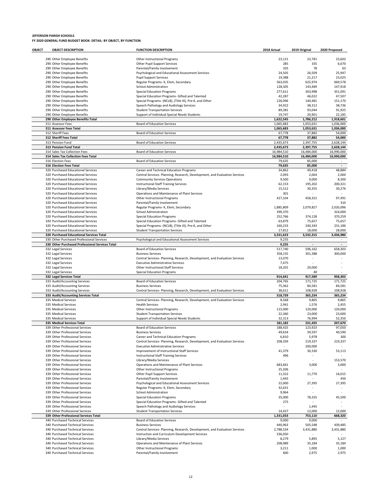| OBJECT | <b>OBJECT DESCRIPTION</b>                                                                    | <b>FUNCTION DESCRIPTION</b>                                                | 2018 Actual        | 2019 Original       | 2020 Proposed            |
|--------|----------------------------------------------------------------------------------------------|----------------------------------------------------------------------------|--------------------|---------------------|--------------------------|
|        |                                                                                              |                                                                            |                    |                     |                          |
|        | 290 Other Employee Benefits                                                                  | Other Instructional Programs                                               | 23,121             | 23,781              | 23,602                   |
|        | 290 Other Employee Benefits                                                                  | Other Pupil Support Services                                               | 285                | 335                 | 6,670                    |
|        | 290 Other Employee Benefits                                                                  | Parental/Family Involvement                                                | 105                | 78                  | 63                       |
|        | 290 Other Employee Benefits                                                                  | Psychological and Educational Assessment Services                          | 24,505             | 26,509              | 25,947                   |
|        | 290 Other Employee Benefits                                                                  | <b>Pupil Support Services</b>                                              | 19,388             | 21,217              | 23,025                   |
|        | 290 Other Employee Benefits<br>290 Other Employee Benefits                                   | Regular Programs- K, Elem, Secondary<br><b>School Administration</b>       | 563,035<br>128,305 | 625,974<br>143,469  | 669,578<br>147,918       |
|        | 290 Other Employee Benefits                                                                  | <b>Special Education Programs</b>                                          | 277,611            | 303,998             | 351,091                  |
|        | 290 Other Employee Benefits                                                                  | Special Education Programs- Gifted and Talented                            | 42,287             | 46,022              | 47,507                   |
|        | 290 Other Employee Benefits                                                                  | Special Programs- (NCLB), (Title III), Pre-K, and Other                    | 126,096            | 140,481             | 151,170                  |
|        | 290 Other Employee Benefits                                                                  | Speech Pathology and Audiology Services                                    | 34,922             | 38,312              | 38,736                   |
|        | 290 Other Employee Benefits                                                                  | <b>Student Transportation Services</b>                                     | 89,381             | 93,044              | 91,925                   |
|        | 290 Other Employee Benefits                                                                  | Support of Individual Special Needs Students                               | 19,747             | 20,901              | 22,185                   |
|        | 290 Other Employee Benefits Total                                                            |                                                                            | 1,622,545          | 1,786,212           | 1.918.601                |
|        | 311 Assessor Fees                                                                            | <b>Board of Education Services</b>                                         | 1,065,683          | 1,053,631           | 1,036,000                |
|        | 311 Assessor Fees Total                                                                      |                                                                            | 1,065,683          | 1,053,631           | 1,036,000                |
|        | 312 Sheriff Fees                                                                             | <b>Board of Education Services</b>                                         | 67,778             | 37,882              | 54,000                   |
|        | 312 Sheriff Fees Total                                                                       |                                                                            | 67,778             | 37,882              | 54,000                   |
|        | 313 Pension Fund                                                                             | <b>Board of Education Services</b>                                         | 2,435,673          | 2,397,755           | 2,628,144                |
|        | 313 Pension Fund Total                                                                       |                                                                            | 2,435,673          | 2,397,755           | 2,628,144                |
|        | 314 Sales Tax Collection Fees                                                                | <b>Board of Education Services</b>                                         | 16,984,510         | 16,484,000          | 16,990,000               |
|        | 314 Sales Tax Collection Fees Total                                                          |                                                                            | 16,984,510         | 16,484,000          | 16,990,000               |
|        | 316 Election Fees                                                                            | <b>Board of Education Services</b>                                         | 79,635             | 85,000              | $\overline{\phantom{a}}$ |
|        | 316 Election Fees Total                                                                      |                                                                            | 79,635             | 85,000              |                          |
|        | 320 Purchased Educational Services                                                           | Career and Technical Education Programs                                    | 34,862             | 49,418              | 48,884                   |
|        | 320 Purchased Educational Services                                                           | Central Services- Planning, Research, Development, and Evaluation Services | 2,093              | 2,064               | 2,000                    |
|        | 320 Purchased Educational Services                                                           | <b>Community Services Operations</b>                                       | 9,500              | 9,000               | 8,500                    |
|        | 320 Purchased Educational Services                                                           | Instructional Staff Training Services                                      | 62,153             | 195,202             | 200,321                  |
|        | 320 Purchased Educational Services                                                           | Library/Media Services                                                     | 15,512             | 30,355              | 30,276                   |
|        | 320 Purchased Educational Services                                                           | Operations and Maintenance of Plant Services                               | 301                |                     |                          |
|        | 320 Purchased Educational Services                                                           | Other Instructional Programs                                               | 427,334            | 458,321             | 97,491                   |
|        | 320 Purchased Educational Services                                                           | Parental/Family Involvement                                                |                    |                     | 310                      |
|        | 320 Purchased Educational Services                                                           | Regular Programs- K, Elem, Secondary                                       | 1,885,809          | 2,079,827           | 2,020,096                |
|        | 320 Purchased Educational Services                                                           | <b>School Administration</b>                                               | 399,370            |                     | 324,000                  |
|        | 320 Purchased Educational Services                                                           | <b>Special Education Programs</b>                                          | 252,766            | 374,128             | 370,259                  |
|        | 320 Purchased Educational Services                                                           | Special Education Programs- Gifted and Talented                            | 63,879             | 75,657              | 75,657                   |
|        | 320 Purchased Educational Services                                                           | Special Programs- (NCLB), (Title III), Pre-K, and Other                    | 160,233            | 240,343             | 231,186                  |
|        | 320 Purchased Educational Services                                                           | <b>Student Transportation Services</b>                                     | 17,812             | 18,000              | 28,000                   |
|        | 320 Purchased Educational Services Total                                                     |                                                                            | 3,331,623          | 3,532,315<br>$\sim$ | 3,436,980<br>$\sim$      |
|        | 330 Other Purchased Professional Services<br>330 Other Purchased Professional Services Total | Psychological and Educational Assessment Services                          | 9,235<br>9,235     |                     |                          |
|        | 332 Legal Services                                                                           | <b>Board of Education Services</b>                                         | 517,740            | 596,162             | 658,303                  |
|        | 332 Legal Services                                                                           | <b>Business Services</b>                                                   | 358,155            | 301,388             | 300,000                  |
|        | 332 Legal Services                                                                           | Central Services- Planning, Research, Development, and Evaluation Services | 13,070             |                     |                          |
|        | 332 Legal Services                                                                           | <b>Executive Administrative Services</b>                                   | 7,475              |                     |                          |
|        | 332 Legal Services                                                                           | Other Instructional Staff Services                                         | 18,201             | 20,000              |                          |
|        | 332 Legal Services                                                                           | <b>Special Education Programs</b>                                          |                    | 40                  |                          |
|        | 332 Legal Services Total                                                                     |                                                                            | 914,641            | 917,589             | 958,303                  |
|        | 333 Audit/Accounting Services                                                                | <b>Board of Education Services</b>                                         | 204,765            | 171,725             | 171,725                  |
|        | 333 Audit/Accounting Services                                                                | <b>Business Services</b>                                                   | 75,362             | 84,581              | 84,581                   |
|        | 333 Audit/Accounting Services                                                                | Central Services- Planning, Research, Development, and Evaluation Services | 38,611             | 108,928             | 108,928                  |
|        | 333 Audit/Accounting Services Total                                                          |                                                                            | 318,739            | 365,234             | 365,234                  |
|        | 335 Medical Services                                                                         | Central Services- Planning, Research, Development, and Evaluation Services | 8,568              | 9,865               | 9,865                    |
|        | 335 Medical Services                                                                         | <b>Health Services</b>                                                     | 2,941              | 1,576               | 2,455                    |
|        | 335 Medical Services                                                                         | Other Instructional Programs                                               | 115,000            | 120,000             | 120,000                  |
|        | 335 Medical Services                                                                         | <b>Student Transportation Services</b>                                     | 22,360             | 23,000              | 23,000                   |
|        | 335 Medical Services                                                                         | Support of Individual Special Needs Students                               | 32,313             | 76,994              | 52,350                   |
|        | 335 Medical Services Total                                                                   |                                                                            | 181,182            | 231,435             | 207,670                  |
|        | 339 Other Professional Services                                                              | <b>Board of Education Services</b>                                         | 188,425            | 123,923             | 97,050                   |
|        | 339 Other Professional Services                                                              | <b>Business Services</b>                                                   | 49,634             | 39,597              | 40,590                   |
|        | 339 Other Professional Services                                                              | Career and Technical Education Programs                                    | 6,810              | 5,978               | 300                      |
|        | 339 Other Professional Services                                                              | Central Services- Planning, Research, Development, and Evaluation Services | 208,359            | 219,337             | 219,337                  |
|        | 339 Other Professional Services                                                              | <b>Executive Administrative Services</b>                                   |                    | 200,000             |                          |
|        | 339 Other Professional Services                                                              | Improvement of Instructional Staff Services                                | 41,379             | 30,330              | 53,113                   |
|        | 339 Other Professional Services                                                              | Instructional Staff Training Services                                      | 496                |                     |                          |
|        | 339 Other Professional Services                                                              | Library/Media Services                                                     |                    |                     | 153,570                  |
|        | 339 Other Professional Services                                                              | Operations and Maintenance of Plant Services                               | 683,661            | 3,000               | 3,000                    |
|        | 339 Other Professional Services                                                              | Other Instructional Programs                                               | 25,206             |                     |                          |
|        | 339 Other Professional Services                                                              | Other Pupil Support Services                                               | 11,322             | 11,770              | 16,015                   |
|        | 339 Other Professional Services                                                              | Parental/Family Involvement                                                | 1,445              |                     | 450                      |
|        | 339 Other Professional Services                                                              | Psychological and Educational Assessment Services                          | 22,000             | 27,395              | 27,395                   |
|        | 339 Other Professional Services<br>339 Other Professional Services                           | Regular Programs- K, Elem, Secondary<br><b>School Administration</b>       | 32,631             |                     |                          |
|        | 339 Other Professional Services                                                              | <b>Special Education Programs</b>                                          | 9,964<br>35,000    |                     |                          |
|        | 339 Other Professional Services                                                              | Special Education Programs- Gifted and Talented                            | 275                | 78,335              | 45,500                   |
|        | 339 Other Professional Services                                                              | Speech Pathology and Audiology Services                                    |                    | 1,445               |                          |
|        | 339 Other Professional Services                                                              | <b>Student Transportation Services</b>                                     | 14,427             | 12,000              | 12,000                   |
|        | 339 Other Professional Services Total                                                        |                                                                            | 1,331,033          | 753,110             | 668,320                  |
|        | 340 Purchased Technical Services                                                             | <b>Board of Education Services</b>                                         | 9,000              | 9,000               |                          |
|        | 340 Purchased Technical Services                                                             | <b>Business Services</b>                                                   | 440,963            | 505,548             | 439,485                  |
|        | 340 Purchased Technical Services                                                             | Central Services- Planning, Research, Development, and Evaluation Services | 2,788,534          | 3,431,880           | 3,431,880                |
|        | 340 Purchased Technical Services                                                             | Instruction and Curriculum Development Services                            | 336,050            |                     |                          |
|        | 340 Purchased Technical Services                                                             | Library/Media Services                                                     | 8,279              | 5,895               | 5,127                    |
|        | 340 Purchased Technical Services                                                             | Operations and Maintenance of Plant Services                               | 208,989            | 35,184              | 35,184                   |
|        | 340 Purchased Technical Services                                                             | Other Instructional Programs                                               | 3,211              | 1,000               | 1,000                    |
|        | 340 Purchased Technical Services                                                             | Parental/Family Involvement                                                | 600                | 2,975               | 2,975                    |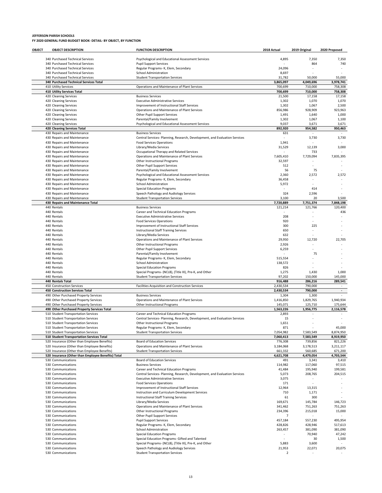| OBJECT | <b>OBJECT DESCRIPTION</b>                                                                 | <b>FUNCTION DESCRIPTION</b>                                                                                           | 2018 Actual             | 2019 Original                       | 2020 Proposed        |
|--------|-------------------------------------------------------------------------------------------|-----------------------------------------------------------------------------------------------------------------------|-------------------------|-------------------------------------|----------------------|
|        | 340 Purchased Technical Services                                                          | Psychological and Educational Assessment Services                                                                     | 4,895                   | 7,350                               | 7,350                |
|        | 340 Purchased Technical Services                                                          | <b>Pupil Support Services</b>                                                                                         |                         | 864                                 | 740                  |
|        | 340 Purchased Technical Services                                                          | Regular Programs- K, Elem, Secondary                                                                                  | 24,096                  |                                     |                      |
|        | 340 Purchased Technical Services                                                          | School Administration                                                                                                 | 8,697                   |                                     |                      |
|        | 340 Purchased Technical Services<br>340 Purchased Technical Services Total                | <b>Student Transportation Services</b>                                                                                | 31,782<br>3,865,097     | 50,000<br>4,049,696                 | 55,000<br>3,978,741  |
|        | 410 Utility Services                                                                      | Operations and Maintenance of Plant Services                                                                          | 700,699                 | 710,000                             | 758,308              |
|        | 410 Utility Services Total                                                                |                                                                                                                       | 700,699                 | 710,000                             | 758,308              |
|        | 420 Cleaning Services                                                                     | <b>Business Services</b>                                                                                              | 21,500                  | 17,158                              | 17,158               |
|        | 420 Cleaning Services                                                                     | <b>Executive Administrative Services</b>                                                                              | 1,302                   | 1,070                               | 1,070                |
|        | 420 Cleaning Services<br>420 Cleaning Services                                            | Improvement of Instructional Staff Services<br>Operations and Maintenance of Plant Services                           | 1,302<br>856,986        | 1,067<br>928,909                    | 2,500<br>923,963     |
|        | 420 Cleaning Services                                                                     | Other Pupil Support Services                                                                                          | 1,491                   | 1,640                               | 1,000                |
|        | 420 Cleaning Services                                                                     | Parental/Family Involvement                                                                                           | 1,302                   | 1,067                               | 1,100                |
|        | 420 Cleaning Services                                                                     | Psychological and Educational Assessment Services                                                                     | 9,037                   | 3,671                               | 3,671                |
|        | 420 Cleaning Services Total<br>430 Repairs and Maintenance                                | <b>Business Services</b>                                                                                              | 892,920<br>631          | 954,582<br>$\overline{\phantom{a}}$ | 950,463              |
|        | 430 Repairs and Maintenance                                                               | Central Services- Planning, Research, Development, and Evaluation Services                                            |                         | 3,730                               | 3,730                |
|        | 430 Repairs and Maintenance                                                               | <b>Food Services Operations</b>                                                                                       | 1,941                   |                                     |                      |
|        | 430 Repairs and Maintenance                                                               | Library/Media Services                                                                                                | 31,529                  | 12,139                              | 3,000                |
|        | 430 Repairs and Maintenance                                                               | Occupational Therapy and Related Services                                                                             |                         | 733                                 |                      |
|        | 430 Repairs and Maintenance<br>430 Repairs and Maintenance                                | Operations and Maintenance of Plant Services<br>Other Instructional Programs                                          | 7,605,410<br>32,597     | 7,729,094                           | 7,835,395            |
|        | 430 Repairs and Maintenance                                                               | Other Pupil Support Services                                                                                          | 512                     |                                     |                      |
|        | 430 Repairs and Maintenance                                                               | Parental/Family Involvement                                                                                           | 56                      | 75                                  |                      |
|        | 430 Repairs and Maintenance                                                               | Psychological and Educational Assessment Services                                                                     | 2,360                   | 2,572                               | 2,572                |
|        | 430 Repairs and Maintenance<br>430 Repairs and Maintenance                                | Regular Programs- K, Elem, Secondary                                                                                  | 36,458                  |                                     |                      |
|        | 430 Repairs and Maintenance                                                               | School Administration<br><b>Special Education Programs</b>                                                            | 5,972                   | 414                                 |                      |
|        | 430 Repairs and Maintenance                                                               | Speech Pathology and Audiology Services                                                                               | 324                     | 2,596                               |                      |
|        | 430 Repairs and Maintenance                                                               | <b>Student Transportation Services</b>                                                                                | 3,100                   | 20                                  | 3,500                |
|        | 430 Repairs and Maintenance Total                                                         |                                                                                                                       | 7,720,889               | 7,751,374                           | 7,848,198            |
|        | 440 Rentals<br>440 Rentals                                                                | <b>Business Services</b><br>Career and Technical Education Programs                                                   | 121,214                 | 121,766                             | 120,400<br>436       |
|        | 440 Rentals                                                                               | <b>Executive Administrative Services</b>                                                                              | 208                     |                                     |                      |
|        | 440 Rentals                                                                               | <b>Food Services Operations</b>                                                                                       | 920                     |                                     |                      |
|        | 440 Rentals                                                                               | Improvement of Instructional Staff Services                                                                           | 300                     | 225                                 |                      |
|        | 440 Rentals                                                                               | <b>Instructional Staff Training Services</b>                                                                          | 650                     |                                     |                      |
|        | 440 Rentals<br>440 Rentals                                                                | Library/Media Services<br>Operations and Maintenance of Plant Services                                                | 632<br>29,950           | 12,720                              | 22,705               |
|        | 440 Rentals                                                                               | Other Instructional Programs                                                                                          | 2,926                   |                                     |                      |
|        | 440 Rentals                                                                               | Other Pupil Support Services                                                                                          | 6,259                   |                                     |                      |
|        | 440 Rentals                                                                               | Parental/Family Involvement                                                                                           |                         | 75                                  |                      |
|        | 440 Rentals                                                                               | Regular Programs- K, Elem, Secondary                                                                                  | 515,554<br>138,572      |                                     |                      |
|        | 440 Rentals<br>440 Rentals                                                                | School Administration<br><b>Special Education Programs</b>                                                            | 826                     |                                     |                      |
|        | 440 Rentals                                                                               | Special Programs- (NCLB), (Title III), Pre-K, and Other                                                               | 1,275                   | 1,430                               | 1,000                |
|        | 440 Rentals                                                                               | <b>Student Transportation Services</b>                                                                                | 97,202                  | 150,000                             | 145,000              |
|        | 440 Rentals Total                                                                         |                                                                                                                       | 916,488                 | 286,216                             | 289,541              |
|        | 450 Construction Services<br><b>450 Construction Services Total</b>                       | Facilities Acquisition and Construction Services                                                                      | 2,430,534<br>2,430,534  | 790,000<br>790,000                  | ٠<br>$\overline{a}$  |
|        | 490 Other Purchased Property Services                                                     | <b>Business Services</b>                                                                                              | 1,304                   | 1,300                               |                      |
|        | 490 Other Purchased Property Services                                                     | Operations and Maintenance of Plant Services                                                                          | 1,416,850               | 1,829,765                           | 1,940,934            |
|        | 490 Other Purchased Property Services                                                     | Other Instructional Programs                                                                                          | 145,071                 | 125,710                             | 175,644              |
|        | 490 Other Purchased Property Services Total                                               |                                                                                                                       | 1,563,226               | 1,956,775                           | 2,116,578            |
|        | 510 Student Transportation Services<br>510 Student Transportation Services                | Career and Technical Education Programs<br>Central Services- Planning, Research, Development, and Evaluation Services | 2,893<br>15             |                                     |                      |
|        | 510 Student Transportation Services                                                       | Other Instructional Programs                                                                                          | 1,651                   |                                     |                      |
|        | 510 Student Transportation Services                                                       | Regular Programs- K, Elem, Secondary                                                                                  | 871                     |                                     | 45,000               |
|        | 510 Student Transportation Services                                                       | <b>Student Transportation Services</b>                                                                                | 7,054,982               | 7,583,549                           | 8,874,950            |
|        | 510 Student Transportation Services Total<br>520 Insurance (Other than Employee Benefits) | <b>Board of Education Services</b>                                                                                    | 7,060,413<br>776,308    | 7,583,549<br>739,856                | 8,919,950<br>821,226 |
|        | 520 Insurance (Other than Employee Benefits)                                              | Operations and Maintenance of Plant Services                                                                          | 3,184,068               | 3,178,513                           | 3,211,117            |
|        | 520 Insurance (Other than Employee Benefits)                                              | <b>Student Transportation Services</b>                                                                                | 661,332                 | 560,685                             | 671,200              |
|        | 520 Insurance (Other than Employee Benefits) Total                                        |                                                                                                                       | 4,621,708               | 4,479,054                           | 4,703,544            |
|        | 530 Communications                                                                        | <b>Board of Education Services</b>                                                                                    | 491                     | 3,341                               | 3,410                |
|        | 530 Communications<br>530 Communications                                                  | <b>Business Services</b><br>Career and Technical Education Programs                                                   | 114,982<br>41,484       | 117,060<br>195,940                  | 97,515<br>199,581    |
|        | 530 Communications                                                                        | Central Services- Planning, Research, Development, and Evaluation Services                                            | 5,073                   | 208,765                             | 204,515              |
|        | 530 Communications                                                                        | <b>Executive Administrative Services</b>                                                                              | 3,075                   |                                     |                      |
|        | 530 Communications                                                                        | <b>Food Services Operations</b>                                                                                       | 171                     |                                     |                      |
|        | 530 Communications                                                                        | Improvement of Instructional Staff Services                                                                           | 12,964                  | 13,315                              |                      |
|        | 530 Communications<br>530 Communications                                                  | Instruction and Curriculum Development Services<br>Instructional Staff Training Services                              | 710<br>61               | 1,171<br>300                        |                      |
|        | 530 Communications                                                                        | Library/Media Services                                                                                                | 169,671                 | 145,784                             | 146,723              |
|        | 530 Communications                                                                        | Operations and Maintenance of Plant Services                                                                          | 341,462                 | 751,263                             | 751,263              |
|        | 530 Communications                                                                        | Other Instructional Programs                                                                                          | 234,396                 | 215,018                             | 15,000               |
|        | 530 Communications                                                                        | Other Pupil Support Services                                                                                          | $\overline{7}$          |                                     |                      |
|        | 530 Communications<br>530 Communications                                                  | <b>Pupil Support Services</b><br>Regular Programs- K, Elem, Secondary                                                 | 457,184<br>428,826      | 557,230<br>428,946                  | 495,954<br>517,613   |
|        | 530 Communications                                                                        | School Administration                                                                                                 | 263,457                 | 381,090                             | 381,090              |
|        | 530 Communications                                                                        | <b>Special Education Programs</b>                                                                                     |                         | 70,940                              | 47,242               |
|        | 530 Communications                                                                        | Special Education Programs- Gifted and Talented                                                                       |                         | 30                                  | 1,500                |
|        | 530 Communications<br>530 Communications                                                  | Special Programs- (NCLB), (Title III), Pre-K, and Other                                                               | 5,883<br>21,953         | 3,600                               |                      |
|        | 530 Communications                                                                        | Speech Pathology and Audiology Services<br><b>Student Transportation Services</b>                                     | $\overline{\mathbf{2}}$ | 22,071                              | 20,075               |
|        |                                                                                           |                                                                                                                       |                         |                                     |                      |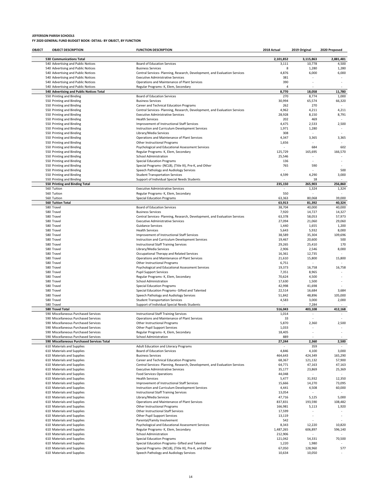| OBJECT | <b>OBJECT DESCRIPTION</b>                                | <b>FUNCTION DESCRIPTION</b>                                                               | 2018 Actual          | 2019 Original            | 2020 Proposed |
|--------|----------------------------------------------------------|-------------------------------------------------------------------------------------------|----------------------|--------------------------|---------------|
|        | <b>530 Communications Total</b>                          |                                                                                           | 2,101,852            | 3,115,863                | 2,881,481     |
|        | 540 Advertising and Public Notices                       | <b>Board of Education Services</b>                                                        | 3,111                | 10,778                   | 4,500         |
|        | 540 Advertising and Public Notices                       | <b>Business Services</b>                                                                  | 8                    | 1,280                    | 1,280         |
|        | 540 Advertising and Public Notices                       | Central Services- Planning, Research, Development, and Evaluation Services                | 4,876                | 6,000                    | 6,000         |
|        | 540 Advertising and Public Notices                       | <b>Executive Administrative Services</b>                                                  | 381                  |                          |               |
|        | 540 Advertising and Public Notices                       | Operations and Maintenance of Plant Services                                              | 390                  |                          |               |
|        | 540 Advertising and Public Notices                       | Regular Programs- K, Elem, Secondary                                                      | $\overline{a}$       |                          |               |
|        | 540 Advertising and Public Notices Total                 |                                                                                           | 8,770                | 18,058                   | 11,780        |
|        | 550 Printing and Binding                                 | <b>Board of Education Services</b>                                                        | 270                  | 8,774                    | 1,000         |
|        | 550 Printing and Binding                                 | <b>Business Services</b>                                                                  | 30,994               | 65,574                   | 66,320        |
|        | 550 Printing and Binding                                 | Career and Technical Education Programs                                                   | 262                  | 270                      |               |
|        | 550 Printing and Binding                                 | Central Services- Planning, Research, Development, and Evaluation Services                | 4,962                | 4,211                    | 4,211         |
|        | 550 Printing and Binding                                 | <b>Executive Administrative Services</b>                                                  | 28,928               | 8,150                    | 8,791         |
|        | 550 Printing and Binding                                 | <b>Health Services</b>                                                                    | 202                  | 469                      |               |
|        | 550 Printing and Binding                                 | Improvement of Instructional Staff Services                                               | 4,475                | 2,533                    | 2,500         |
|        | 550 Printing and Binding                                 | Instruction and Curriculum Development Services                                           | 1,971                | 1,280                    |               |
|        | 550 Printing and Binding                                 | Library/Media Services                                                                    | 308                  |                          |               |
|        | 550 Printing and Binding                                 | Operations and Maintenance of Plant Services                                              | 4,347                | 3,365                    | 3,365         |
|        | 550 Printing and Binding                                 | Other Instructional Programs                                                              | 1,656                | 684                      | 602           |
|        | 550 Printing and Binding<br>550 Printing and Binding     | Psychological and Educational Assessment Services<br>Regular Programs- K, Elem, Secondary | 125,729              | 165,695                  | 166,570       |
|        | 550 Printing and Binding                                 | School Administration                                                                     | 25,546               |                          |               |
|        | 550 Printing and Binding                                 | <b>Special Education Programs</b>                                                         | 136                  |                          |               |
|        | 550 Printing and Binding                                 | Special Programs- (NCLB), (Title III), Pre-K, and Other                                   | 765                  | 590                      |               |
|        | 550 Printing and Binding                                 | Speech Pathology and Audiology Services                                                   |                      |                          | 500           |
|        | 550 Printing and Binding                                 | <b>Student Transportation Services</b>                                                    | 4,599                | 4,290                    | 3,000         |
|        | 550 Printing and Binding                                 | Support of Individual Special Needs Students                                              |                      | 18                       |               |
|        | 550 Printing and Binding Total                           |                                                                                           | 235,150              | 265,903                  | 256,860       |
|        | 560 Tuition                                              | <b>Executive Administrative Services</b>                                                  |                      | 1,324                    | 1,324         |
|        | 560 Tuition                                              | Regular Programs- K, Elem, Secondary                                                      | 550                  |                          |               |
|        | 560 Tuition                                              | <b>Special Education Programs</b>                                                         | 63,363               | 80,068                   | 39,000        |
|        | <b>560 Tuition Total</b>                                 |                                                                                           | 63,913               | 81,392                   | 40,324        |
|        | 580 Travel                                               | <b>Board of Education Services</b>                                                        | 38,704               | 40,000                   | 40,000        |
|        | 580 Travel                                               | <b>Business Services</b>                                                                  | 7,920                | 14,727                   | 14,327        |
|        | 580 Travel                                               | Central Services- Planning, Research, Development, and Evaluation Services                | 63,378               | 58,053                   | 57,973        |
|        | 580 Travel                                               | <b>Executive Administrative Services</b>                                                  | 27,094               | 21,060                   | 29,060        |
|        | 580 Travel                                               | <b>Guidance Services</b>                                                                  | 1,440                | 1,655                    | 1,200         |
|        | 580 Travel                                               | <b>Health Services</b>                                                                    | 5,643                | 5,932                    | 8,000         |
|        | 580 Travel                                               | Improvement of Instructional Staff Services                                               | 38,589               | 35,304                   | 109,696       |
|        | 580 Travel                                               | Instruction and Curriculum Development Services                                           | 19,467               | 20,600                   | 500           |
|        | 580 Travel                                               | <b>Instructional Staff Training Services</b>                                              | 29,265               | 25,410                   | 170           |
|        | 580 Travel                                               | Library/Media Services                                                                    | 2,906                | 2,546                    | 8,000         |
|        | 580 Travel                                               | Occupational Therapy and Related Services                                                 | 16,361               | 12,735                   |               |
|        | 580 Travel                                               | Operations and Maintenance of Plant Services                                              | 21,610               | 15,800                   | 15,800        |
|        | 580 Travel                                               | Other Instructional Programs                                                              | 6,751                |                          |               |
|        | 580 Travel                                               | Psychological and Educational Assessment Services                                         | 19,373               | 16,758                   | 16,758        |
|        | 580 Travel                                               | <b>Pupil Support Services</b>                                                             | 7,351                | 8,965                    |               |
|        | 580 Travel                                               | Regular Programs- K, Elem, Secondary                                                      | 70,624               | 4,500                    |               |
|        | 580 Travel                                               | School Administration                                                                     | 17,630               | 1,500                    |               |
|        | 580 Travel<br>580 Travel                                 | <b>Special Education Programs</b><br>Special Education Programs- Gifted and Talented      | 42,998<br>22,514     | 41,698                   | 3,684         |
|        | 580 Travel                                               |                                                                                           | 51,842               | 16,684<br>48,896         | 105,000       |
|        | 580 Travel                                               | Speech Pathology and Audiology Services<br><b>Student Transportation Services</b>         | 4,583                | 3,000                    | 2,000         |
|        | 580 Travel                                               | Support of Individual Special Needs Students                                              |                      | 7,284                    |               |
|        | 580 Travel Total                                         |                                                                                           | 516,043              | 403,108                  | 412,168       |
|        | 590 Miscellaneous Purchased Services                     | Instructional Staff Training Services                                                     | 1,014                | $\overline{\phantom{m}}$ |               |
|        | 590 Miscellaneous Purchased Services                     | Operations and Maintenance of Plant Services                                              | 33                   |                          |               |
|        | 590 Miscellaneous Purchased Services                     | Other Instructional Programs                                                              | 5,870                | 2,360                    | 2,500         |
|        | 590 Miscellaneous Purchased Services                     | Other Pupil Support Services                                                              | 1,033                |                          |               |
|        | 590 Miscellaneous Purchased Services                     | Regular Programs- K, Elem, Secondary                                                      | 18,405               |                          |               |
|        | 590 Miscellaneous Purchased Services                     | <b>School Administration</b>                                                              | 889                  |                          |               |
|        | 590 Miscellaneous Purchased Services Total               |                                                                                           | 27,244               | 2,360                    | 2,500         |
|        | 610 Materials and Supplies                               | Adult Education and Literacy Programs                                                     |                      | 359                      | $\sim$        |
|        | 610 Materials and Supplies                               | <b>Board of Education Services</b>                                                        | 4,846                | 4,100                    | 3,000         |
|        | 610 Materials and Supplies                               | <b>Business Services</b>                                                                  | 464,643              | 424,349                  | 165,290       |
|        | 610 Materials and Supplies                               | Career and Technical Education Programs                                                   | 68,367               | 121,132                  | 57,900        |
|        | 610 Materials and Supplies                               | Central Services- Planning, Research, Development, and Evaluation Services                | 64,771               | 47,163                   | 47,163        |
|        | 610 Materials and Supplies                               | <b>Executive Administrative Services</b>                                                  | 35,177               | 23,869                   | 25,369        |
|        | 610 Materials and Supplies                               | <b>Food Services Operations</b>                                                           | 44,048               |                          |               |
|        | 610 Materials and Supplies                               | <b>Health Services</b>                                                                    | 5,477                | 31,932                   | 12,350        |
|        | 610 Materials and Supplies                               | Improvement of Instructional Staff Services                                               | 15,666               | 14,270                   | 73,095        |
|        | 610 Materials and Supplies                               | Instruction and Curriculum Development Services                                           | 4,441                | 4,508                    | 60,000        |
|        | 610 Materials and Supplies                               | Instructional Staff Training Services                                                     | 13,054               |                          |               |
|        | 610 Materials and Supplies                               | Library/Media Services                                                                    | 47,716               | 5,125                    | 5,000         |
|        | 610 Materials and Supplies                               | Operations and Maintenance of Plant Services                                              | 837,831              | 193,590                  | 108,482       |
|        | 610 Materials and Supplies                               | Other Instructional Programs                                                              | 166,981              | 5,113                    | 1,920         |
|        | 610 Materials and Supplies                               | Other Instructional Staff Services                                                        | 17,599               |                          |               |
|        | 610 Materials and Supplies                               | Other Pupil Support Services                                                              | 13,119               | ×,                       | ٠             |
|        | 610 Materials and Supplies                               | Parental/Family Involvement                                                               | 542                  |                          |               |
|        | 610 Materials and Supplies                               | Psychological and Educational Assessment Services                                         | 8,343                | 12,220                   | 10,820        |
|        | 610 Materials and Supplies                               | Regular Programs- K, Elem, Secondary<br>School Administration                             | 1,487,265<br>212,906 | 606,897                  | 596,140       |
|        | 610 Materials and Supplies<br>610 Materials and Supplies | <b>Special Education Programs</b>                                                         | 121,042              | 54,331                   | 70,500        |
|        | 610 Materials and Supplies                               | Special Education Programs- Gifted and Talented                                           | 1,220                | 1,980                    |               |
|        | 610 Materials and Supplies                               | Special Programs- (NCLB), (Title III), Pre-K, and Other                                   | 67,050               | 128,960                  | 577           |
|        | 610 Materials and Supplies                               | Speech Pathology and Audiology Services                                                   | 10,634               | 10,050                   |               |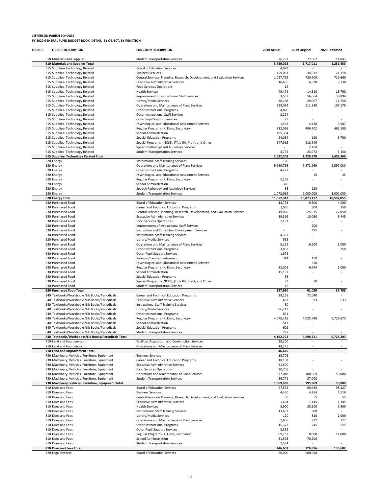| OBJECT | <b>OBJECT DESCRIPTION</b>                                                                      | <b>FUNCTION DESCRIPTION</b>                                                                  | 2018 Actual             | 2019 Original            | 2020 Proposed            |
|--------|------------------------------------------------------------------------------------------------|----------------------------------------------------------------------------------------------|-------------------------|--------------------------|--------------------------|
|        | 610 Materials and Supplies                                                                     | <b>Student Transportation Services</b>                                                       | 26,291                  | 27,062                   | 14,847                   |
|        | 610 Materials and Supplies Total                                                               |                                                                                              | 3,739,028               | 1,717,011                | 1,252,453                |
|        | 615 Supplies- Technology Related                                                               | <b>Board of Education Services</b>                                                           | 4,029                   |                          |                          |
|        | 615 Supplies- Technology Related                                                               | <b>Business Services</b>                                                                     | 159,033                 | 34,012                   | 21,370                   |
|        | 615 Supplies- Technology Related                                                               | Central Services- Planning, Research, Development, and Evaluation Services                   | 1,027,769               | 720,900                  | 719,660                  |
|        | 615 Supplies- Technology Related                                                               | <b>Executive Administrative Services</b>                                                     | 18,636                  | 6,820                    | 9,738                    |
|        | 615 Supplies- Technology Related<br>615 Supplies- Technology Related                           | <b>Food Services Operations</b><br><b>Health Services</b>                                    | 19<br>49,479            | 14,310                   | 18,790                   |
|        | 615 Supplies- Technology Related                                                               | Improvement of Instructional Staff Services                                                  | 3,553                   | 56,064                   | 38,894                   |
|        | 615 Supplies- Technology Related                                                               | Library/Media Services                                                                       | 30,188                  | 29,007                   | 11,750                   |
|        | 615 Supplies- Technology Related                                                               | Operations and Maintenance of Plant Services                                                 | 228,034                 | 111,840                  | 107,179                  |
|        | 615 Supplies- Technology Related                                                               | Other Instructional Programs                                                                 | 4,870                   |                          |                          |
|        | 615 Supplies- Technology Related                                                               | Other Instructional Staff Services                                                           | 2,294                   |                          |                          |
|        | 615 Supplies- Technology Related                                                               | Other Pupil Support Services                                                                 | 29                      |                          |                          |
|        | 615 Supplies- Technology Related                                                               | Psychological and Educational Assessment Services                                            | 1,563                   | 4,430                    | 3,987                    |
|        | 615 Supplies- Technology Related                                                               | Regular Programs- K, Elem, Secondary                                                         | 812,066                 | 406,702                  | 462,100                  |
|        | 615 Supplies- Technology Related                                                               | <b>School Administration</b>                                                                 | 105,384                 | 120                      |                          |
|        | 615 Supplies- Technology Related<br>615 Supplies- Technology Related                           | <b>Special Education Programs</b><br>Special Programs- (NCLB), (Title III), Pre-K, and Other | 24,054<br>147,915       | 318,940                  | 6,750                    |
|        | 615 Supplies- Technology Related                                                               | Speech Pathology and Audiology Services                                                      |                         | 2,160                    |                          |
|        | 615 Supplies- Technology Related                                                               | <b>Student Transportation Services</b>                                                       | 3,792                   | 23,072                   | 3,150                    |
|        | 615 Supplies- Technology Related Total                                                         |                                                                                              | 2,622,708               | 1,728,378                | 1,403,368                |
|        | 620 Energy                                                                                     | <b>Instructional Staff Training Services</b>                                                 | 120                     |                          |                          |
|        | 620 Energy                                                                                     | Operations and Maintenance of Plant Services                                                 | 9,969,765               | 9,872,969                | 9,597,030                |
|        | 620 Energy                                                                                     | Other Instructional Programs                                                                 | 4,472                   |                          |                          |
|        | 620 Energy                                                                                     | Psychological and Educational Assessment Services                                            |                         | 25                       | 25                       |
|        | 620 Energy                                                                                     | Regular Programs- K, Elem, Secondary                                                         | 5,158                   |                          | ٠                        |
|        | 620 Energy                                                                                     | School Administration                                                                        | 370                     |                          |                          |
|        | 620 Energy                                                                                     | Speech Pathology and Audiology Services                                                      | 88                      | 123                      |                          |
|        | 620 Energy<br>620 Energy Total                                                                 | <b>Student Transportation Services</b>                                                       | 1,072,969<br>11,052,942 | 1,000,000<br>10,873,117  | 1,000,000<br>10,597,055  |
|        | 630 Purchased Food                                                                             | <b>Board of Education Services</b>                                                           | 12,793                  | 9,300                    | 4,000                    |
|        | 630 Purchased Food                                                                             | Career and Technical Education Programs                                                      | 2,036                   | 600                      | 250                      |
|        | 630 Purchased Food                                                                             | Central Services- Planning, Research, Development, and Evaluation Services                   | 19,066                  | 25,975                   | 22,850                   |
|        | 630 Purchased Food                                                                             | <b>Executive Administrative Services</b>                                                     | 19,366                  | 10,060                   | 6,445                    |
|        | 630 Purchased Food                                                                             | <b>Food Services Operations</b>                                                              | 1,191                   |                          |                          |
|        | 630 Purchased Food                                                                             | Improvement of Instructional Staff Services                                                  |                         | 200                      |                          |
|        | 630 Purchased Food                                                                             | Instruction and Curriculum Development Services                                              |                         | 421                      |                          |
|        | 630 Purchased Food                                                                             | <b>Instructional Staff Training Services</b>                                                 | 4,337                   |                          |                          |
|        | 630 Purchased Food                                                                             | Library/Media Services                                                                       | 555                     |                          |                          |
|        | 630 Purchased Food                                                                             | Operations and Maintenance of Plant Services                                                 | 5,112                   | 6,900                    | 3,000                    |
|        | 630 Purchased Food                                                                             | Other Instructional Programs                                                                 | 3,853                   |                          | 250                      |
|        | 630 Purchased Food                                                                             | Other Pupil Support Services                                                                 | 1,975                   |                          |                          |
|        | 630 Purchased Food<br>630 Purchased Food                                                       | Parental/Family Involvement<br>Psychological and Educational Assessment Services             | 344                     | 150<br>550               |                          |
|        | 630 Purchased Food                                                                             | Regular Programs- K, Elem, Secondary                                                         | 52,005                  | 6,794                    | 1,000                    |
|        | 630 Purchased Food                                                                             | School Administration                                                                        | 15,197                  |                          |                          |
|        | 630 Purchased Food                                                                             | <b>Special Education Programs</b>                                                            | 33                      |                          |                          |
|        | 630 Purchased Food                                                                             | Special Programs- (NCLB), (Title III), Pre-K, and Other                                      | 73                      | 80                       |                          |
|        | 630 Purchased Food                                                                             | <b>Student Transportation Services</b>                                                       | 45                      |                          |                          |
|        | 630 Purchased Food Total                                                                       |                                                                                              | 137,980                 | 61,030                   | 37,795                   |
|        | 640 Textbooks/Workbooks/Lib Books/Periodicals                                                  | Career and Technical Education Programs                                                      | 28,161                  | 72,040                   |                          |
|        | 640 Textbooks/Workbooks/Lib Books/Periodicals                                                  | <b>Executive Administrative Services</b>                                                     | 683                     | 533                      | 533                      |
|        | 640 Textbooks/Workbooks/Lib Books/Periodicals                                                  | <b>Instructional Staff Training Services</b>                                                 | 50                      |                          | $\overline{\phantom{a}}$ |
|        | 640 Textbooks/Workbooks/Lib Books/Periodicals<br>640 Textbooks/Workbooks/Lib Books/Periodicals | Library/Media Services                                                                       | 86,213<br>891           |                          |                          |
|        | 640 Textbooks/Workbooks/Lib Books/Periodicals                                                  | Other Instructional Programs<br>Regular Programs- K, Elem, Secondary                         | 4,075,415               | 4,025,748                | 6,727,670                |
|        | 640 Textbooks/Workbooks/Lib Books/Periodicals                                                  | <b>School Administration</b>                                                                 | 511                     |                          |                          |
|        | 640 Textbooks/Workbooks/Lib Books/Periodicals                                                  | <b>Special Education Programs</b>                                                            | 602                     |                          |                          |
|        | 640 Textbooks/Workbooks/Lib Books/Periodicals                                                  | <b>Student Transportation Services</b>                                                       | 267                     |                          |                          |
|        | 640 Textbooks/Workbooks/Lib Books/Periodicals Total                                            |                                                                                              | 4,192,792               | 4,098,321                | 6,728,203                |
|        | 710 Land and Improvement                                                                       | Facilities Acquisition and Construction Services                                             | 28,200                  |                          |                          |
|        | 710 Land and Improvement                                                                       | Operations and Maintenance of Plant Services                                                 | 18,275                  |                          |                          |
|        | 710 Land and Improvement Total                                                                 |                                                                                              | 46,475                  | $\overline{\phantom{a}}$ | $\blacksquare$           |
|        | 730 Machinery, Vehicles. Furniture, Equipment                                                  | <b>Business Services</b>                                                                     | 15,703                  |                          |                          |
|        | 730 Machinery, Vehicles. Furniture, Equipment                                                  | Career and Technical Education Programs                                                      | 18,102                  |                          |                          |
|        | 730 Machinery, Vehicles. Furniture, Equipment<br>730 Machinery, Vehicles. Furniture, Equipment | <b>Executive Administrative Services</b><br><b>Food Services Operations</b>                  | 51,500<br>20,705        |                          |                          |
|        | 730 Machinery, Vehicles. Furniture, Equipment                                                  | Operations and Maintenance of Plant Services                                                 | 877,048                 | 108,969                  | 50,000                   |
|        | 730 Machinery, Vehicles. Furniture, Equipment                                                  | <b>Student Transportation Services</b>                                                       | 86,771                  | 87,000                   |                          |
|        | 730 Machinery, Vehicles. Furniture, Equipment Total                                            |                                                                                              | 1,069,830               | 195,969                  | 50,000                   |
|        | 810 Dues and Fees                                                                              | <b>Board of Education Services</b>                                                           | 47,532                  | 60,435                   | 98,127                   |
|        | 810 Dues and Fees                                                                              | <b>Business Services</b>                                                                     | 4,430                   | 4,254                    | 4,518                    |
|        | 810 Dues and Fees                                                                              | Central Services- Planning, Research, Development, and Evaluation Services                   | 30                      | 55                       | 55                       |
|        | 810 Dues and Fees                                                                              | <b>Executive Administrative Services</b>                                                     | 1,604                   | 1,145                    | 1,145                    |
|        | 810 Dues and Fees                                                                              | <b>Health Services</b>                                                                       | 3,900                   | 30,100                   | 9,600                    |
|        | 810 Dues and Fees                                                                              | <b>Instructional Staff Training Services</b>                                                 | 13,653                  | 900                      | $\sim$                   |
|        | 810 Dues and Fees                                                                              | Library/Media Services                                                                       | 120                     | 810                      | 2,000                    |
|        | 810 Dues and Fees                                                                              | Operations and Maintenance of Plant Services                                                 | 2,806                   | 712                      | 712                      |
|        | 810 Dues and Fees                                                                              | Other Instructional Programs                                                                 | 15,323                  | 245                      | 525                      |
|        | 810 Dues and Fees<br>810 Dues and Fees                                                         | Other Pupil Support Services                                                                 | 3,356                   | 8,000                    | 14,000                   |
|        | 810 Dues and Fees                                                                              | Regular Programs- K, Elem, Secondary<br><b>School Administration</b>                         | 69,763<br>81,593        | 70,200                   | $\sim$                   |
|        | 810 Dues and Fees                                                                              | <b>Student Transportation Services</b>                                                       | 2,554                   |                          |                          |
|        | 810 Dues and Fees Total                                                                        |                                                                                              | 246,663                 | 176,856                  | 130,682                  |

820 Legal Reserve Board of Education Services 60,000 500,000 ‐